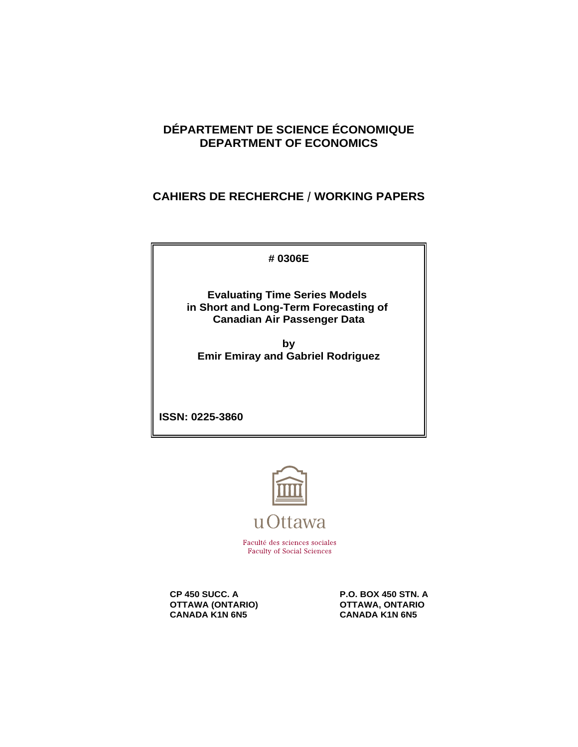# **DÉPARTEMENT DE SCIENCE ÉCONOMIQUE DEPARTMENT OF ECONOMICS**

# **CAHIERS DE RECHERCHE / WORKING PAPERS**

**# 0306E**

**Evaluating Time Series Models in Short and Long-Term Forecasting of Canadian Air Passenger Data**

**by Emir Emiray and Gabriel Rodriguez**

**ISSN: 0225-3860**



**Faculty of Social Sciences** 

**OTTAWA (ONTARIO)<br>CANADA K1N 6N5** 

**CP 450 SUCC. A** P.O. BOX 450 STN. A<br>1997 - P.O. BOX 450 STN. A OTTAWA, ONTARIO **CANADA K1N 6N5**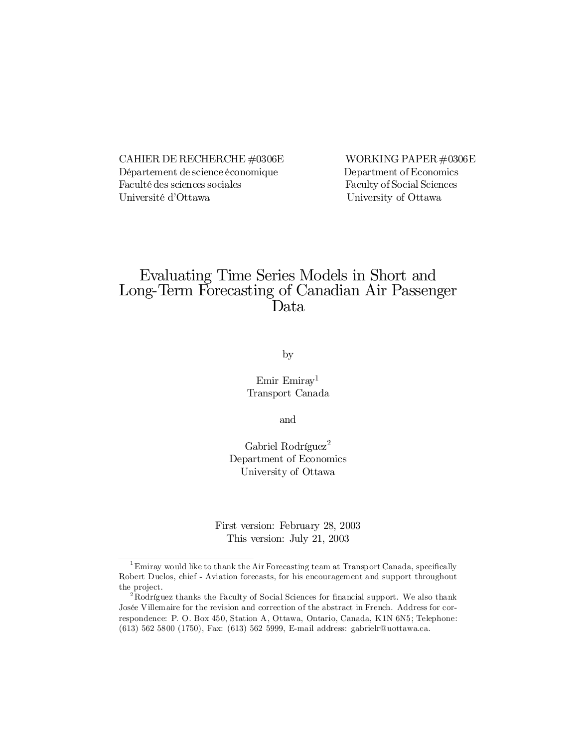CAHIER DE RECHERCHE  $\#0306E$  WORKING PAPER  $\#0306E$ Département de science économique Department of Economics Faculté des sciences sociales Faculty of Social Sciences Université d'Ottawa University of Ottawa

# Evaluating Time Series Models in Short and Long-Term Forecasting of Canadian Air Passenger Data

by

### Emir Emiray<sup>1</sup> Transport Canada

and

Gabriel Rodríguez<sup>2</sup> Department of Economics University of Ottawa

First version: February 28, 2003 This version: July 21, 2003

 $1$ Emiray would like to thank the Air Forecasting team at Transport Canada, specifically Robert Duclos, chief - Aviation forecasts, for his encouragement and support throughout the project.

 $2R$  Rodríguez thanks the Faculty of Social Sciences for financial support. We also thank Josée Villemaire for the revision and correction of the abstract in French. Address for correspondence: P. O. Box 450, Station A, Ottawa, Ontario, Canada, K1N 6N5; Telephone: (613) 562 5800 (1750), Fax: (613) 562 5999, E-mail address: gabrielr@uottawa.ca.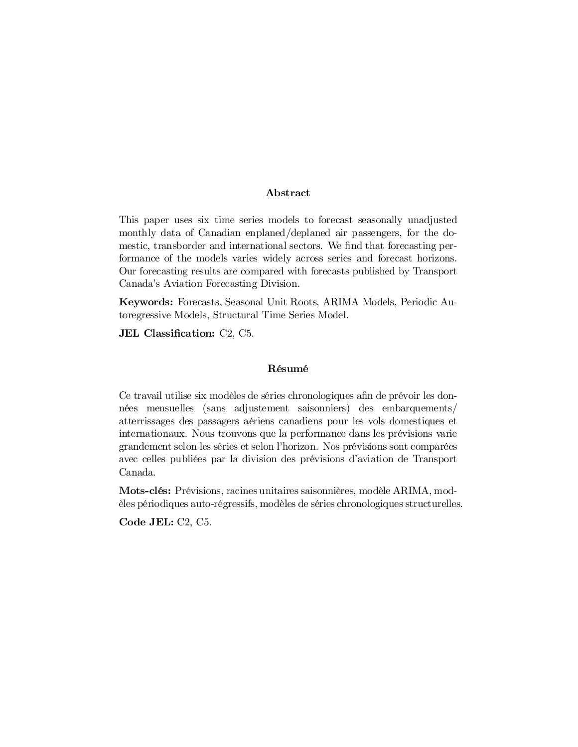#### Abstract

This paper uses six time series models to forecast seasonally unadjusted monthly data of Canadian enplaned/deplaned air passengers, for the domestic, transborder and international sectors. We find that forecasting performance of the models varies widely across series and forecast horizons. Our forecasting results are compared with forecasts published by Transport Canada's Aviation Forecasting Division.

Keywords: Forecasts, Seasonal Unit Roots, ARIMA Models, Periodic Autoregressive Models, Structural Time Series Model.

JEL Classification: C2, C5.

#### Résumé

Ce travail utilise six modèles de séries chronologiques afin de prévoir les données mensuelles (sans adjustement saisonniers) des embarquements/ atterrissages des passagers aériens canadiens pour les vols domestiques et internationaux. Nous trouvons que la performance dans les prévisions varie grandement selon les séries et selon l'horizon. Nos prévisions sont comparées avec celles publiées par la division des prévisions d'aviation de Transport Canada.

Mots-clés: Prévisions, racines unitaires saisonnières, modèle ARIMA, modèles périodiques auto-régressifs, modèles de séries chronologiques structurelles.

Code JEL: C2, C5.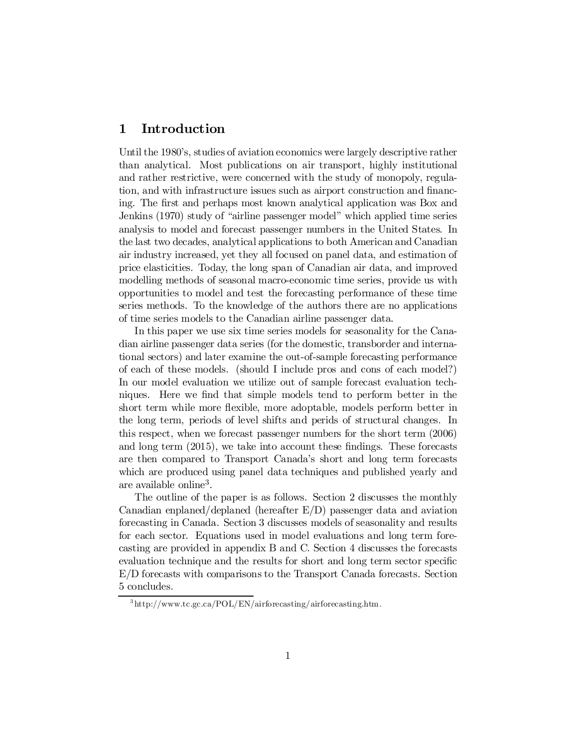# 1 Introduction

Until the 1980's, studies of aviation economics were largely descriptive rather than analytical. Most publications on air transport, highly institutional and rather restrictive, were concerned with the study of monopoly, regulation, and with infrastructure issues such as airport construction and financing. The first and perhaps most known analytical application was Box and Jenkins (1970) study of "airline passenger model" which applied time series analysis to model and forecast passenger numbers in the United States. In the last two decades, analytical applications to both American and Canadian air industry increased, yet they all focused on panel data, and estimation of price elasticities. Today, the long span of Canadian air data, and improved modelling methods of seasonal macro-economic time series, provide us with opportunities to model and test the forecasting performance of these time series methods. To the knowledge of the authors there are no applications of time series models to the Canadian airline passenger data.

In this paper we use six time series models for seasonality for the Canadian airline passenger data series (for the domestic, transborder and international sectors) and later examine the out-of-sample forecasting performance of each of these models. (should I include pros and cons of each model?) In our model evaluation we utilize out of sample forecast evaluation techniques. Here we find that simple models tend to perform better in the short term while more flexible, more adoptable, models perform better in the long term, periods of level shifts and perids of structural changes. In this respect, when we forecast passenger numbers for the short term (2006) and long term  $(2015)$ , we take into account these findings. These forecasts are then compared to Transport Canada's short and long term forecasts which are produced using panel data techniques and published yearly and are available online<sup>3</sup>.

The outline of the paper is as follows. Section 2 discusses the monthly Canadian enplaned/deplaned (hereafter E/D) passenger data and aviation forecasting in Canada. Section 3 discusses models of seasonality and results for each sector. Equations used in model evaluations and long term forecasting are provided in appendix B and C. Section 4 discusses the forecasts evaluation technique and the results for short and long term sector specific E/D forecasts with comparisons to the Transport Canada forecasts. Section 5 concludes.

<sup>3</sup> http://www.tc.gc.ca/POL/EN/airforecasting/airforecasting.htm.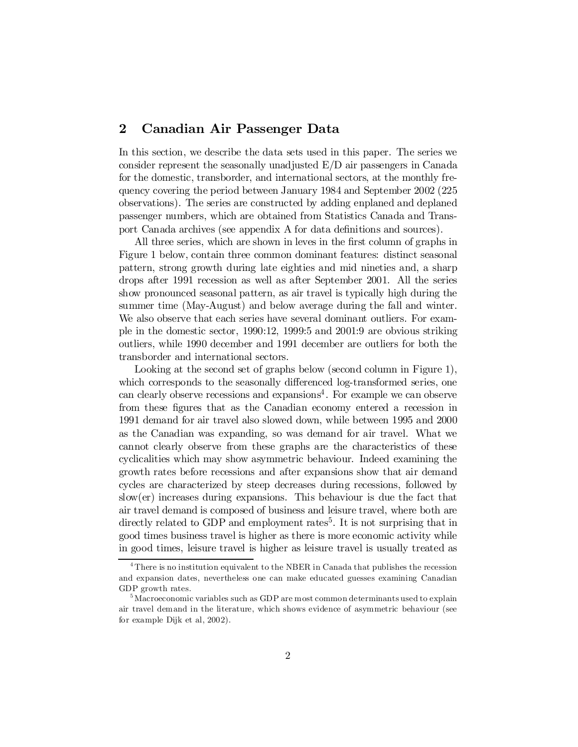# 2 Canadian Air Passenger Data

In this section, we describe the data sets used in this paper. The series we consider represent the seasonally unadjusted E/D air passengers in Canada for the domestic, transborder, and international sectors, at the monthly frequency covering the period between January 1984 and September 2002 (225 observations). The series are constructed by adding enplaned and deplaned passenger numbers, which are obtained from Statistics Canada and Transport Canada archives (see appendix A for data definitions and sources).

All three series, which are shown in leves in the first column of graphs in Figure 1 below, contain three common dominant features: distinct seasonal pattern, strong growth during late eighties and mid nineties and, a sharp drops after 1991 recession as well as after September 2001. All the series show pronounced seasonal pattern, as air travel is typically high during the summer time (May-August) and below average during the fall and winter. We also observe that each series have several dominant outliers. For example in the domestic sector, 1990:12, 1999:5 and 2001:9 are obvious striking outliers, while 1990 december and 1991 december are outliers for both the transborder and international sectors.

Looking at the second set of graphs below (second column in Figure 1), which corresponds to the seasonally differenced log-transformed series, one can clearly observe recessions and expansions 4 . For example we can observe from these figures that as the Canadian economy entered a recession in 1991 demand for air travel also slowed down, while between 1995 and 2000 as the Canadian was expanding, so was demand for air travel. What we cannot clearly observe from these graphs are the characteristics of these cyclicalities which may show asymmetric behaviour. Indeed examining the growth rates before recessions and after expansions show that air demand cycles are characterized by steep decreases during recessions, followed by slow(er) increases during expansions. This behaviour is due the fact that air travel demand is composed of business and leisure travel, where both are directly related to GDP and employment rates<sup>5</sup>. It is not surprising that in good times business travel is higher as there is more economic activity while in good times, leisure travel is higher as leisure travel is usually treated as

<sup>&</sup>lt;sup>4</sup> There is no institution equivalent to the NBER in Canada that publishes the recession and expansion dates, nevertheless one can make educated guesses examining Canadian GDP growth rates.

 $^5$ Macroeconomic variables such as GDP are most common determinants used to explain air travel demand in the literature, which shows evidence of asymmetric behaviour (see for example Dijk et al, 2002).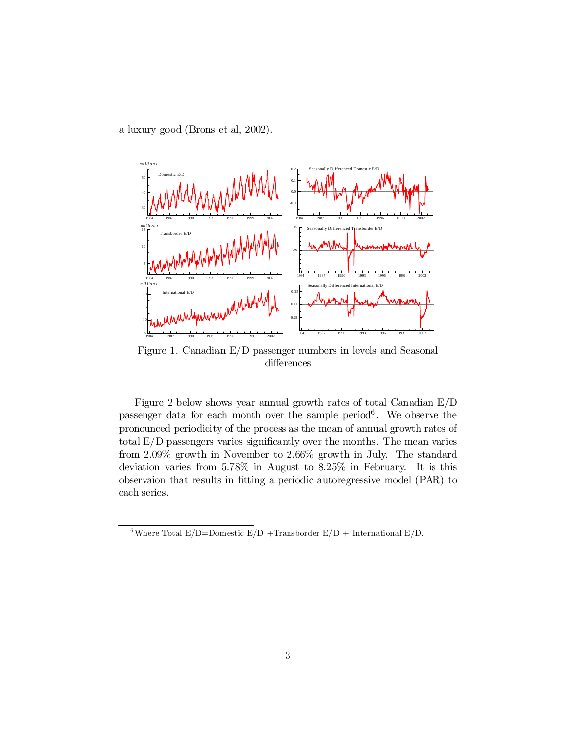a luxury good (Brons et al, 2002).



Figure 1. Canadian E/D passenger numbers in levels and Seasonal differences

Figure 2 below shows year annual growth rates of total Canadian E/D passenger data for each month over the sample period 6 . We observe the pronounced periodicity of the process as the mean of annual growth rates of total  $E/D$  passengers varies significantly over the months. The mean varies from 2.09% growth in November to 2.66% growth in July. The standard deviation varies from 5.78% in August to 8.25% in February. It is this observaion that results in fitting a periodic autoregressive model (PAR) to each series.

<sup>&</sup>lt;sup>6</sup>Where Total E/D=Domestic E/D +Transborder E/D + International E/D.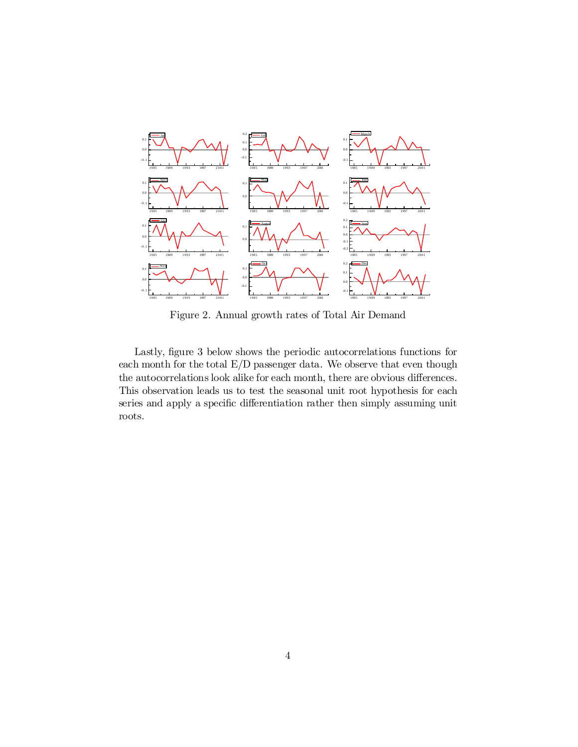

Figure 2. Annual growth rates of Total Air Demand

Lastly, figure 3 below shows the periodic autocorrelations functions for each month for the total E/D passenger data. We observe that even though the autocorrelations look alike for each month, there are obvious differences. This observation leads us to test the seasonal unit root hypothesis for each series and apply a specific differentiation rather then simply assuming unit roots.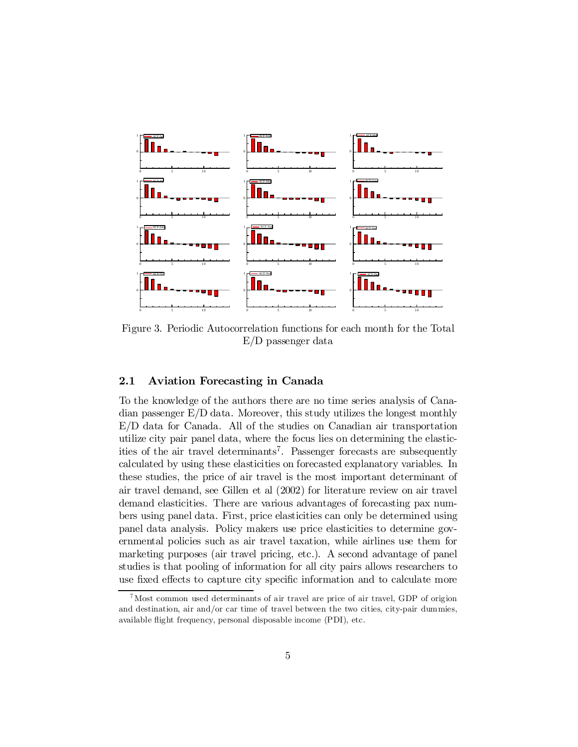

Figure 3. Periodic Autocorrelation functions for each month for the Total E/D passenger data

#### 2.1 Aviation Forecasting in Canada

To the knowledge of the authors there are no time series analysis of Canadian passenger E/D data. Moreover, this study utilizes the longest monthly E/D data for Canada. All of the studies on Canadian air transportation utilize city pair panel data, where the focus lies on determining the elasticities of the air travel determinants 7 . Passenger forecasts are subsequently calculated by using these elasticities on forecasted explanatory variables. In these studies, the price of air travel is the most important determinant of air travel demand, see Gillen et al (2002) for literature review on air travel demand elasticities. There are various advantages of forecasting pax numbers using panel data. First, price elasticities can only be determined using panel data analysis. Policy makers use price elasticities to determine governmental policies such as air travel taxation, while airlines use them for marketing purposes (air travel pricing, etc.). A second advantage of panel studies is that pooling of information for all city pairs allows researchers to use fixed effects to capture city specific information and to calculate more

 Most common used determinants of air travel are price of air travel, GDP of origion and destination, air and/or car time of travel between the two cities, city-pair dummies, available flight frequency, personal disposable income (PDI), etc.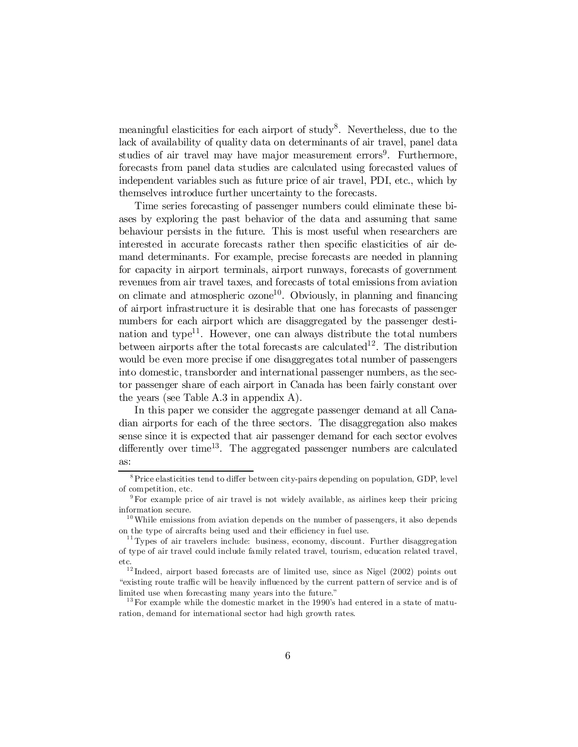meaningful elasticities for each airport of study<sup>8</sup>. Nevertheless, due to the lack of availability of quality data on determinants of air travel, panel data studies of air travel may have major measurement errors<sup>9</sup>. Furthermore, forecasts from panel data studies are calculated using forecasted values of independent variables such as future price of air travel, PDI, etc., which by themselves introduce further uncertainty to the forecasts.

Time series forecasting of passenger numbers could eliminate these biases by exploring the past behavior of the data and assuming that same behaviour persists in the future. This is most useful when researchers are interested in accurate forecasts rather then specific elasticities of air demand determinants. For example, precise forecasts are needed in planning for capacity in airport terminals, airport runways, forecasts of government revenues from air travel taxes, and forecasts of total emissions from aviation on climate and atmospheric  $\alpha$ zone<sup>10</sup>. Obviously, in planning and financing of airport infrastructure it is desirable that one has forecasts of passenger numbers for each airport which are disaggregated by the passenger destination and type<sup>11</sup>. However, one can always distribute the total numbers between airports after the total forecasts are calculated<sup>12</sup>. The distribution would be even more precise if one disaggregates total number of passengers into domestic, transborder and international passenger numbers, as the sector passenger share of each airport in Canada has been fairly constant over the years (see Table A.3 in appendix A).

In this paper we consider the aggregate passenger demand at all Canadian airports for each of the three sectors. The disaggregation also makes sense since it is expected that air passenger demand for each sector evolves differently over time<sup>13</sup>. The aggregated passenger numbers are calculated as:

 $8$ Price elasticities tend to differ between city-pairs depending on population, GDP, level of competition, etc.

<sup>9</sup> For example price of air travel is not widely available, as airlines keep their pricing information secure.

 $10$  While emissions from aviation depends on the number of passengers, it also depends on the type of aircrafts being used and their efficiency in fuel use.

 $11$  Types of air travelers include: business, economy, discount. Further disaggregation of type of air travel could include family related travel, tourism, education related travel, etc.

<sup>&</sup>lt;sup>12</sup>Indeed, airport based forecasts are of limited use, since as Nigel (2002) points out "existing route traffic will be heavily influenced by the current pattern of service and is of limited use when forecasting many years into the future."

 $13$  For example while the domestic market in the 1990's had entered in a state of maturation, demand for international sector had high growth rates.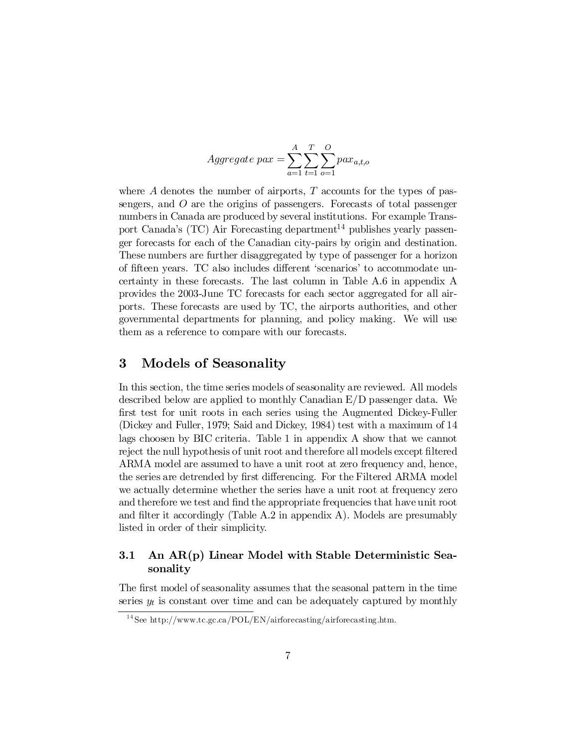$$
Aggregate\ par = \sum_{a=1}^{A} \sum_{t=1}^{T} \sum_{o=1}^{O} pax_{a,t,o}
$$

where  $A$  denotes the number of airports,  $T$  accounts for the types of passengers, and  $\hat{O}$  are the origins of passengers. Forecasts of total passenger numbers in Canada are produced by several institutions. For example Transport Canada's (TC) Air Forecasting department <sup>14</sup> publishes yearly passenger forecasts for each of the Canadian city-pairs by origin and destination. These numbers are further disaggregated by type of passenger for a horizon of fifteen years. TC also includes different 'scenarios' to accommodate uncertainty in these forecasts. The last column in Table A.6 in appendix A provides the 2003-June TC forecasts for each sector aggregated for all airports. These forecasts are used by TC, the airports authorities, and other governmental departments for planning, and policy making. We will use them as a reference to compare with our forecasts.

### 3 Models of Seasonality

In this section, the time series models of seasonality are reviewed. All models described below are applied to monthly Canadian E/D passenger data. We first test for unit roots in each series using the Augmented Dickey-Fuller (Dickey and Fuller, 1979; Said and Dickey, 1984) test with a maximum of 14 lags choosen by BIC criteria. Table 1 in appendix A show that we cannot reject the null hypothesis of unit root and therefore all models except filtered ARMA model are assumed to have a unit root at zero frequency and, hence, the series are detrended by first differencing. For the Filtered ARMA model we actually determine whether the series have a unit root at frequency zero and therefore we test and find the appropriate frequencies that have unit root and filter it accordingly (Table A.2 in appendix A). Models are presumably listed in order of their simplicity.

### 3.1 An AR(p) Linear Model with Stable Deterministic Seasonality

The first model of seasonality assumes that the seasonal pattern in the time series  $y_t$  is constant over time and can be adequately captured by monthly

<sup>&</sup>lt;sup>14</sup> See http://www.tc.gc.ca/POL/EN/airforecasting/airforecasting.htm.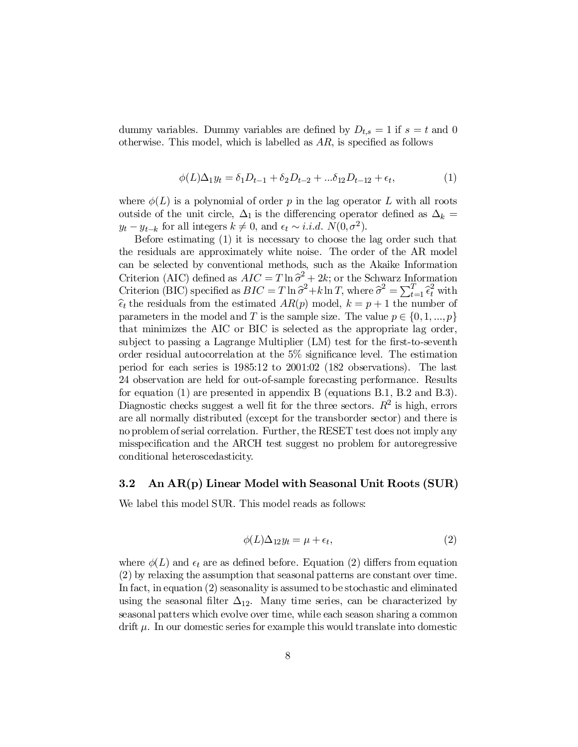dummy variables. Dummy variables are defined by  $D_{t,s} = 1$  if  $s = t$  and 0 otherwise. This model, which is labelled as  $AR$ , is specified as follows

$$
\phi(L)\Delta_1 y_t = \delta_1 D_{t-1} + \delta_2 D_{t-2} + \dots + \delta_{12} D_{t-12} + \epsilon_t,\tag{1}
$$

where  $\phi(L)$  is a polynomial of order p in the lag operator L with all roots outside of the unit circle,  $\Delta_1$  is the differencing operator defined as  $\Delta_k =$  $y_t - y_{t-k}$  for all integers  $k \neq 0$ , and  $\epsilon_t \sim i.i.d. N(0, \sigma^2)$ .

Before estimating (1) it is necessary to choose the lag order such that the residuals are approximately white noise. The order of the AR model can be selected by conventional methods, such as the Akaike Information Criterion (AIC) defined as  $AIC = T \ln \hat{\sigma}^2 + 2k$ ; or the Schwarz Information Criterion (BIC) specified as  $BIC = T \ln \hat{\sigma}^2 + k \ln T$ , where  $\hat{\sigma}^2 = \sum_{t=1}^T \hat{\epsilon}_t^2$  with  $\hat{\epsilon}_t$  the residuals from the estimated  $AR(p)$  model,  $k = p + 1$  the number of parameters in the model and T is the sample size. The value  $p \in \{0,1,...,p\}$ that minimizes the AIC or BIC is selected as the appropriate lag order, subject to passing a Lagrange Multiplier (LM) test for the first-to-seventh order residual autocorrelation at the  $5\%$  significance level. The estimation period for each series is 1985:12 to 2001:02 (182 observations). The last 24 observation are held for out-of-sample forecasting performance. Results for equation (1) are presented in appendix B (equations B.1, B.2 and B.3). Diagnostic checks suggest a well fit for the three sectors.  $R^2$  is high, errors are all normally distributed (except for the transborder sector) and there is no problem of serial correlation. Further, the RESET test does not imply any misspecification and the ARCH test suggest no problem for autoregressive conditional heteroscedasticity.

#### 3.2 An AR(p) Linear Model with Seasonal Unit Roots (SUR)

We label this model SUR. This model reads as follows:

$$
\phi(L)\Delta_{12}y_t = \mu + \epsilon_t,\tag{2}
$$

where  $\phi(L)$  and  $\epsilon_t$  are as defined before. Equation (2) differs from equation (2) by relaxing the assumption that seasonal patterns are constant over time. In fact, in equation (2) seasonality is assumed to be stochastic and eliminated using the seasonal filter  $\Delta_{12}$ . Many time series, can be characterized by seasonal patters which evolve over time, while each season sharing a common drift  $\mu$ . In our domestic series for example this would translate into domestic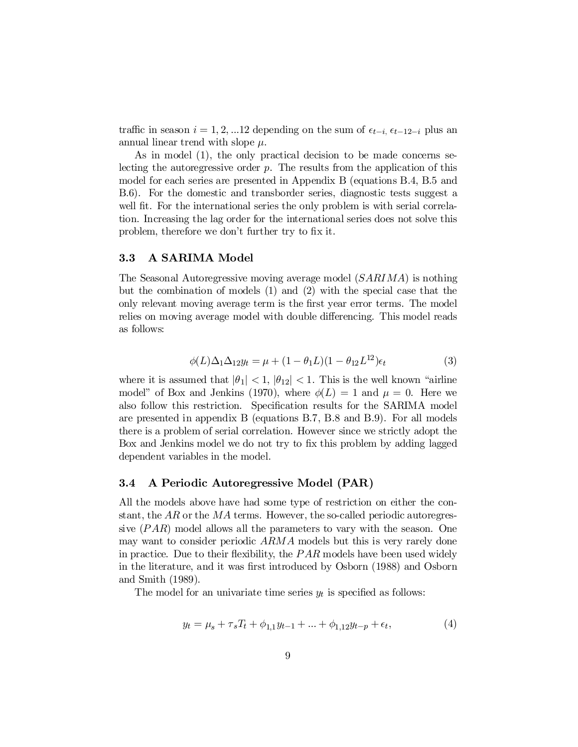traffic in season  $i = 1, 2, \dots 12$  depending on the sum of  $\epsilon_{t-i}$ ,  $\epsilon_{t-12-i}$  plus an annual linear trend with slope  $\mu$ .

As in model (1), the only practical decision to be made concerns selecting the autoregressive order  $p$ . The results from the application of this model for each series are presented in Appendix B (equations B.4, B.5 and B.6). For the domestic and transborder series, diagnostic tests suggest a well fit. For the international series the only problem is with serial correlation. Increasing the lag order for the international series does not solve this problem, therefore we don't further try to fix it.

#### 3.3 A SARIMA Model

The Seasonal Autoregressive moving average model (SARIMA) is nothing but the combination of models (1) and (2) with the special case that the only relevant moving average term is the first year error terms. The model relies on moving average model with double differencing. This model reads as follows:

$$
\phi(L)\Delta_1\Delta_{12}y_t = \mu + (1 - \theta_1 L)(1 - \theta_{12} L^{12})\epsilon_t
$$
\n(3)

where it is assumed that  $|\theta_1| < 1$ ,  $|\theta_{12}| < 1$ . This is the well known "airline" model" of Box and Jenkins (1970), where  $\phi(L) = 1$  and  $\mu = 0$ . Here we also follow this restriction. Specification results for the SARIMA model are presented in appendix B (equations B.7, B.8 and B.9). For all models there is a problem of serial correlation. However since we strictly adopt the Box and Jenkins model we do not try to fix this problem by adding lagged dependent variables in the model.

#### 3.4 A Periodic Autoregressive Model (PAR)

All the models above have had some type of restriction on either the constant, the AR or the MA terms. However, the so-called periodic autoregressive  $(PAR)$  model allows all the parameters to vary with the season. One may want to consider periodic ARMA models but this is very rarely done in practice. Due to their flexibility, the  $PAR$  models have been used widely in the literature, and it was first introduced by Osborn (1988) and Osborn and Smith (1989).

The model for an univariate time series  $y_t$  is specified as follows:

$$
y_t = \mu_s + \tau_s T_t + \phi_{1,1} y_{t-1} + \dots + \phi_{1,12} y_{t-p} + \epsilon_t,
$$
\n(4)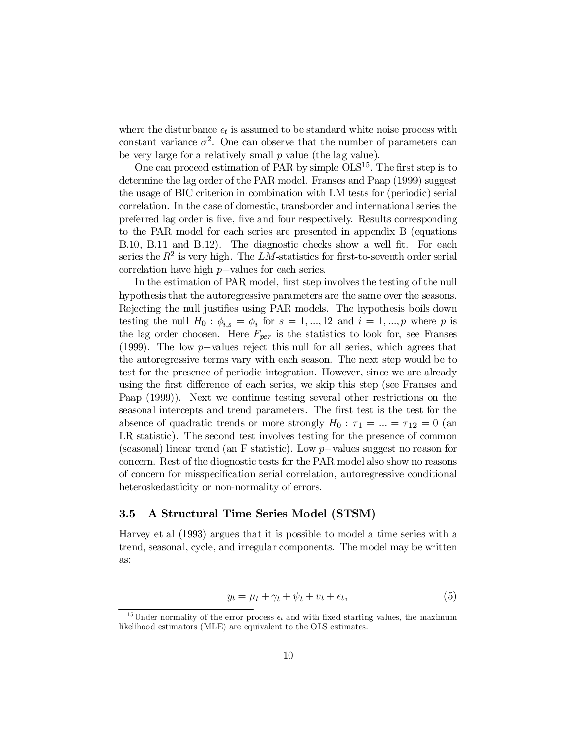where the disturbance  $\epsilon_t$  is assumed to be standard white noise process with constant variance  $\sigma^2$ . One can observe that the number of parameters can be very large for a relatively small  $p$  value (the lag value).

One can proceed estimation of PAR by simple  $OLS<sup>15</sup>$ . The first step is to determine the lag order of the PAR model. Franses and Paap (1999) suggest the usage of BIC criterion in combination with LM tests for (periodic) serial correlation. In the case of domestic, transborder and international series the preferred lag order is five, five and four respectively. Results corresponding to the PAR model for each series are presented in appendix B (equations B.10, B.11 and B.12). The diagnostic checks show a well fit. For each series the  $R^2$  is very high. The LM-statistics for first-to-seventh order serial correlation have high  $p$ -values for each series.

In the estimation of PAR model, first step involves the testing of the null hypothesis that the autoregressive parameters are the same over the seasons. Rejecting the null justifies using PAR models. The hypothesis boils down testing the null  $H_0: \phi_{i,s} = \phi_i$  for  $s = 1, ..., 12$  and  $i = 1, ..., p$  where p is the lag order choosen. Here  $F_{per}$  is the statistics to look for, see Franses (1999). The low  $p$ -values reject this null for all series, which agrees that the autoregressive terms vary with each season. The next step would be to test for the presence of periodic integration. However, since we are already using the first difference of each series, we skip this step (see Franses and Paap (1999)). Next we continue testing several other restrictions on the seasonal intercepts and trend parameters. The first test is the test for the absence of quadratic trends or more strongly  $H_0$ :  $\tau_1 = ... = \tau_{12} = 0$  (an LR statistic). The second test involves testing for the presence of common (seasonal) linear trend (an F statistic). Low  $p$ -values suggest no reason for concern. Rest of the diognostic tests for the PAR model also show no reasons of concern for misspecification serial correlation, autoregressive conditional heteroskedasticity or non-normality of errors.

#### 3.5 A Structural Time Series Model (STSM)

Harvey et al (1993) argues that it is possible to model a time series with a trend, seasonal, cycle, and irregular components. The model may be written as:

$$
y_t = \mu_t + \gamma_t + \psi_t + v_t + \epsilon_t, \tag{5}
$$

<sup>&</sup>lt;sup>15</sup> Under normality of the error process  $\epsilon_t$  and with fixed starting values, the maximum likelihood estimators (MLE) are equivalent to the OLS estimates.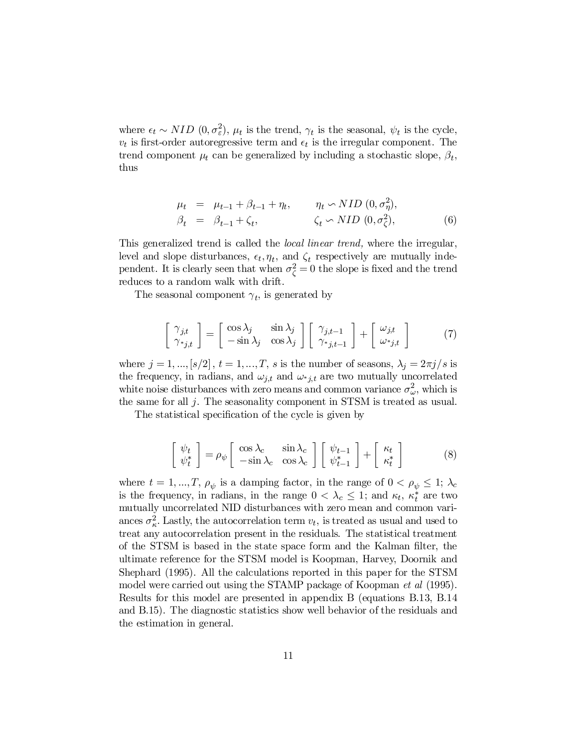where  $\epsilon_t \sim NID$   $(0, \sigma_{\varepsilon}^2)$ ,  $\mu_t$  is the trend,  $\gamma_t$  is the seasonal,  $\psi_t$  is the cycle,  $v_t$  is first-order autoregressive term and  $\epsilon_t$  is the irregular component. The trend component  $\mu_t$  can be generalized by including a stochastic slope,  $\beta_t$ , thus

$$
\mu_t = \mu_{t-1} + \beta_{t-1} + \eta_t, \qquad \eta_t \sim NID(0, \sigma_\eta^2),
$$
  

$$
\beta_t = \beta_{t-1} + \zeta_t, \qquad \zeta_t \sim NID(0, \sigma_\zeta^2), \qquad (6)
$$

This generalized trend is called the *local linear trend*, where the irregular, level and slope disturbances,  $\epsilon_t, \eta_t$ , and  $\zeta_t$  respectively are mutually independent. It is clearly seen that when  $\sigma_{\zeta}^2 = 0$  the slope is fixed and the trend reduces to a random walk with drift.

The seasonal component  $\gamma_t$ , is generated by

$$
\begin{bmatrix} \gamma_{j,t} \\ \gamma_{*j,t} \end{bmatrix} = \begin{bmatrix} \cos \lambda_j & \sin \lambda_j \\ -\sin \lambda_j & \cos \lambda_j \end{bmatrix} \begin{bmatrix} \gamma_{j,t-1} \\ \gamma_{*j,t-1} \end{bmatrix} + \begin{bmatrix} \omega_{j,t} \\ \omega_{*j,t} \end{bmatrix}
$$
 (7)

where  $j = 1, ..., [s/2], t = 1, ..., T$ , s is the number of seasons,  $\lambda_j = 2\pi j/s$  is the frequency, in radians, and  $\omega_{j,t}$  and  $\omega_{j,t}$  are two mutually uncorrelated white noise disturbances with zero means and common variance  $\sigma_{\omega}^2$ , which is the same for all j. The seasonality component in STSM is treated as usual.

The statistical specification of the cycle is given by

$$
\begin{bmatrix} \psi_t \\ \psi_t^* \end{bmatrix} = \rho_{\psi} \begin{bmatrix} \cos \lambda_c & \sin \lambda_c \\ -\sin \lambda_c & \cos \lambda_c \end{bmatrix} \begin{bmatrix} \psi_{t-1} \\ \psi_{t-1}^* \end{bmatrix} + \begin{bmatrix} \kappa_t \\ \kappa_t^* \end{bmatrix} \tag{8}
$$

where  $t = 1, ..., T, \rho_{\psi}$  is a damping factor, in the range of  $0 < \rho_{\psi} \leq 1$ ;  $\lambda_c$ is the frequency, in radians, in the range  $0 < \lambda_c \leq 1$ ; and  $\kappa_t$ ,  $\kappa_t^*$  are two mutually uncorrelated NID disturbances with zero mean and common variances  $\sigma_{\kappa}^2$ . Lastly, the autocorrelation term  $v_t$ , is treated as usual and used to treat any autocorrelation present in the residuals. The statistical treatment of the STSM is based in the state space form and the Kalman filter, the ultimate reference for the STSM model is Koopman, Harvey, Doornik and Shephard (1995). All the calculations reported in this paper for the STSM model were carried out using the STAMP package of Koopman *et al* (1995). Results for this model are presented in appendix B (equations B.13, B.14 and B.15). The diagnostic statistics show well behavior of the residuals and the estimation in general.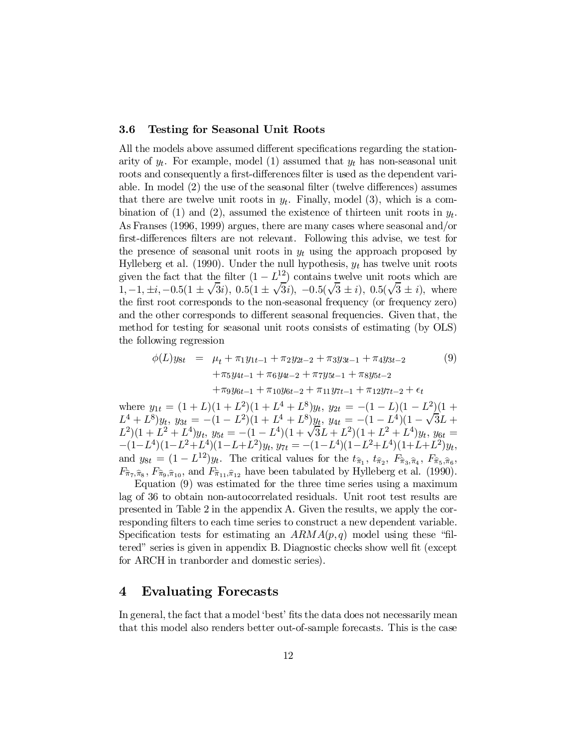#### 3.6 Testing for Seasonal Unit Roots

All the models above assumed different specifications regarding the stationarity of  $y_t$ . For example, model (1) assumed that  $y_t$  has non-seasonal unit roots and consequently a first-differences filter is used as the dependent variable. In model  $(2)$  the use of the seasonal filter (twelve differences) assumes that there are twelve unit roots in  $y_t$ . Finally, model (3), which is a combination of (1) and (2), assumed the existence of thirteen unit roots in  $y_t$ . As Franses (1996, 1999) argues, there are many cases where seasonal and/or first-differences filters are not relevant. Following this advise, we test for the presence of seasonal unit roots in  $y_t$  using the approach proposed by Hylleberg et al. (1990). Under the null hypothesis,  $y_t$  has twelve unit roots given the fact that the filter  $(1 - L^{\frac{12}{2}})$  contains twelve unit roots which are 1;  $-1$ ,  $\pm i$ ,  $-0.5(1 \pm \sqrt{3}i)$ ,  $0.5(1 \pm \sqrt{3}i)$ ,  $-0.5(\sqrt{3} \pm i)$ ,  $0.5(\sqrt{3} \pm i)$ , where the first root corresponds to the non-seasonal frequency (or frequency zero) and the other corresponds to different seasonal frequencies. Given that, the method for testing for seasonal unit roots consists of estimating (by OLS) the following regression

$$
\phi(L)y_{8t} = \mu_t + \pi_1 y_{1t-1} + \pi_2 y_{2t-2} + \pi_3 y_{3t-1} + \pi_4 y_{3t-2} \n+ \pi_5 y_{4t-1} + \pi_6 y_{4t-2} + \pi_7 y_{5t-1} + \pi_8 y_{5t-2} \n+ \pi_9 y_{6t-1} + \pi_{10} y_{6t-2} + \pi_{11} y_{7t-1} + \pi_{12} y_{7t-2} + \epsilon_t
$$
\n(9)

where  $y_{1t} = (1 + L)(1 + L^2)(1 + L^4 + L^8)y_t$ ,  $y_{2t} = -(1 - L)(1 - L^2)(1 + L^4)y_t$  $L^4 + L^8 y_t, y_{3t} = -(1 - L^2)(1 + L^4 + L^8) y_t, y_{4t} = -(1 - L^4)(1 - \sqrt{3L} +$  $L^2(1+L^2+L^4)y_t, y_{5t} = -(1-L^4)(1+\sqrt{3}L+L^2)(1+L^2+L^4)y_t, y_{6t} =$  $-(1-L^4)(1-L^2+L^4)(1-L+L^2)y_t$ ,  $y_{7t} = -(1-L^4)(1-L^2+L^4)(1+L+L^2)y_t$ , and  $y_{8t} = (1 - L^{12})y_t$ . The critical values for the  $t_{\hat{\pi}_1}, t_{\hat{\pi}_2}, F_{\hat{\pi}_3, \hat{\pi}_4}, F_{\hat{\pi}_5, \hat{\pi}_6}$  $F_{\hat{\pi}_{7},\hat{\pi}_{8}}$ ,  $F_{\hat{\pi}_{9},\hat{\pi}_{10}}$ , and  $F_{\hat{\pi}_{11},\hat{\pi}_{12}}$  have been tabulated by Hylleberg et al. (1990).

Equation (9) was estimated for the three time series using a maximum lag of 36 to obtain non-autocorrelated residuals. Unit root test results are presented in Table 2 in the appendix A. Given the results, we apply the corresponding filters to each time series to construct a new dependent variable. Specification tests for estimating an  $ARMA(p,q)$  model using these "filtered" series is given in appendix B. Diagnostic checks show well fit (except for ARCH in tranborder and domestic series).

### 4 Evaluating Forecasts

In general, the fact that a model 'best' fits the data does not necessarily mean that this model also renders better out-of-sample forecasts. This is the case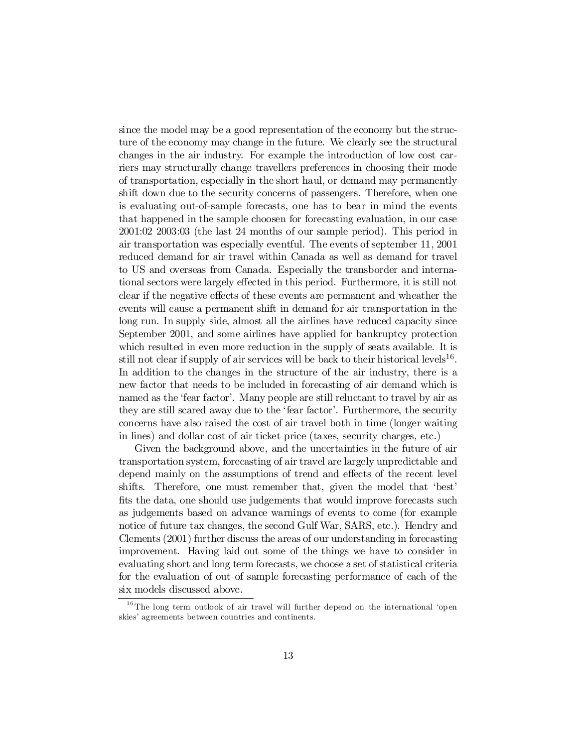since the model may be a good representation of the economy but the structure of the economy may change in the future. We clearly see the structural changes in the air industry. For example the introduction of low cost carriers may structurally change travellers preferences in choosing their mode of transportation, especially in the short haul, or demand may permanently shift down due to the security concerns of passengers. Therefore, when one is evaluating out-of-sample forecasts, one has to bear in mind the events that happened in the sample choosen for forecasting evaluation, in our case 2001:02 2003:03 (the last 24 months of our sample period). This period in air transportation was especially eventful. The events of september 11, 2001 reduced demand for air travel within Canada as well as demand for travel to US and overseas from Canada. Especially the transborder and international sectors were largely effected in this period. Furthermore, it is still not clear if the negative effects of these events are permanent and wheather the events will cause a permanent shift in demand for air transportation in the long run. In supply side, almost all the airlines have reduced capacity since September 2001, and some airlines have applied for bankruptcy protection which resulted in even more reduction in the supply of seats available. It is still not clear if supply of air services will be back to their historical levels<sup>16</sup>. In addition to the changes in the structure of the air industry, there is a new factor that needs to be included in forecasting of air demand which is named as the 'fear factor'. Many people are still reluctant to travel by air as they are still scared away due to the 'fear factor'. Furthermore, the security concerns have also raised the cost of air travel both in time (longer waiting in lines) and dollar cost of air ticket price (taxes, security charges, etc.)

Given the background above, and the uncertainties in the future of air transportation system, forecasting of air travel are largely unpredictable and depend mainly on the assumptions of trend and effects of the recent level shifts. Therefore, one must remember that, given the model that 'best' fits the data, one should use judgements that would improve forecasts such as judgements based on advance warnings of events to come (for example notice of future tax changes, the second Gulf War, SARS, etc.). Hendry and Clements (2001) further discuss the areas of our understanding in forecasting improvement. Having laid out some of the things we have to consider in evaluating short and long term forecasts, we choose a set of statistical criteria for the evaluation of out of sample forecasting performance of each of the six models discussed above.

<sup>&</sup>lt;sup>16</sup> The long term outlook of air travel will further depend on the international 'open skies' agreements between countries and continents.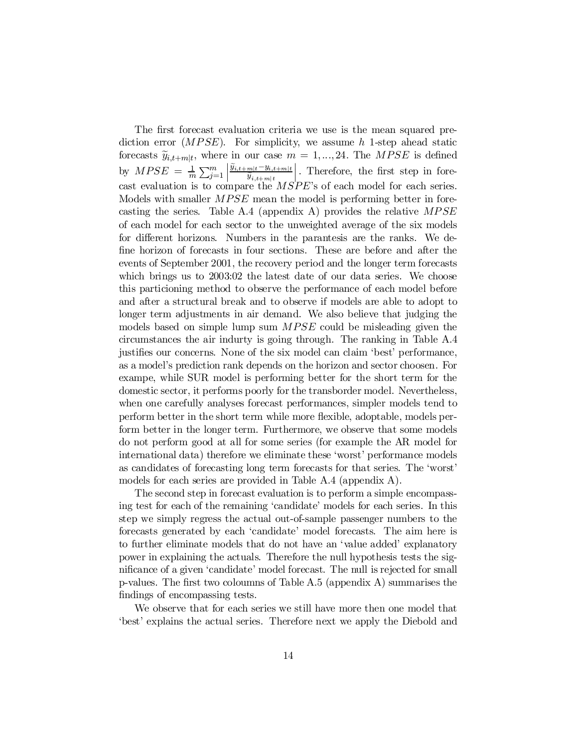The first forecast evaluation criteria we use is the mean squared prediction error  $(MPSE)$ . For simplicity, we assume h 1-step ahead static forecasts  $\widetilde{y}_{i,t+m|t}$ , where in our case  $m = 1,...,24$ . The *MPSE* is defined by  $MPSE = \frac{1}{m} \sum_{j=1}^{m}$  $\begin{array}{|c|c|} \hline \multicolumn{1}{|}{\textbf{}} \\ \multicolumn{1}{|}{\textbf{}} \\ \multicolumn{1}{|}{\textbf{}} \\ \multicolumn{1}{|}{\textbf{}} \\ \multicolumn{1}{|}{\textbf{}} \\ \multicolumn{1}{|}{\textbf{}} \\ \multicolumn{1}{|}{\textbf{}} \\ \multicolumn{1}{|}{\textbf{}} \\ \multicolumn{1}{|}{\textbf{}} \\ \multicolumn{1}{|}{\textbf{}} \\ \multicolumn{1}{|}{\textbf{}} \\ \multicolumn{1}{|}{\textbf{}} \\ \multicolumn{1}{|}{\textbf{}} \\ \multicolumn{1}{|}{\text$  $\widetilde{y}_{i,t+m|t}$  –  $y_{i,t+m|t}$  $\widetilde{y}_{i,t+m|\,t}$  $\left| \cdot \right|$ . Therefore, the first step in forecast evaluation is to compare the MSPE's of each model for each series. Models with smaller *MPSE* mean the model is performing better in forecasting the series. Table A.4 (appendix A) provides the relative  $MPSE$ of each model for each sector to the unweighted average of the six models for different horizons. Numbers in the parantesis are the ranks. We define horizon of forecasts in four sections. These are before and after the events of September 2001, the recovery period and the longer term forecasts which brings us to 2003:02 the latest date of our data series. We choose this particioning method to observe the performance of each model before and after a structural break and to observe if models are able to adopt to longer term adjustments in air demand. We also believe that judging the models based on simple lump sum MPSE could be misleading given the circumstances the air indurty is going through. The ranking in Table A.4 justifies our concerns. None of the six model can claim 'best' performance, as a model's prediction rank depends on the horizon and sector choosen. For exampe, while SUR model is performing better for the short term for the domestic sector, it performs poorly for the transborder model. Nevertheless, when one carefully analyses forecast performances, simpler models tend to perform better in the short term while more flexible, adoptable, models perform better in the longer term. Furthermore, we observe that some models do not perform good at all for some series (for example the AR model for international data) therefore we eliminate these 'worst' performance models as candidates of forecasting long term forecasts for that series. The 'worst' models for each series are provided in Table A.4 (appendix A).

The second step in forecast evaluation is to perform a simple encompassing test for each of the remaining 'candidate' models for each series. In this step we simply regress the actual out-of-sample passenger numbers to the forecasts generated by each 'candidate' model forecasts. The aim here is to further eliminate models that do not have an 'value added' explanatory power in explaining the actuals. Therefore the null hypothesis tests the significance of a given 'candidate' model forecast. The null is rejected for small p-values. The first two coloumns of Table  $A.5$  (appendix  $A$ ) summarises the findings of encompassing tests.

We observe that for each series we still have more then one model that 'best' explains the actual series. Therefore next we apply the Diebold and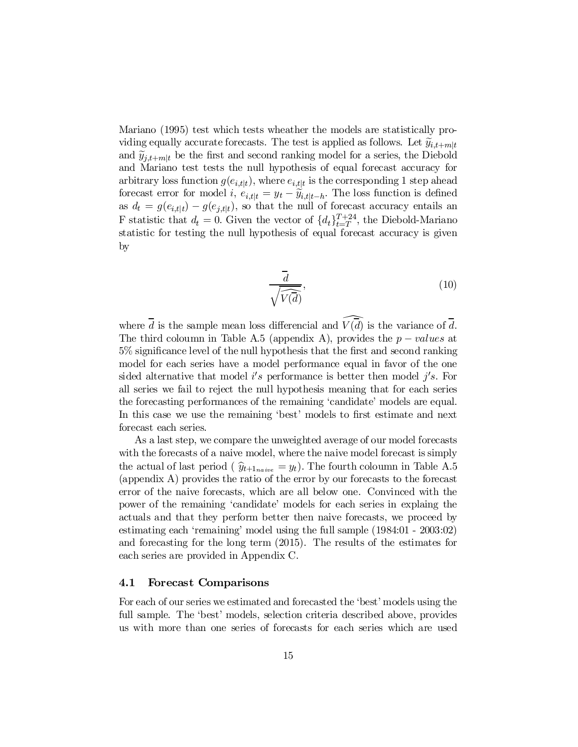Mariano (1995) test which tests wheather the models are statistically providing equally accurate forecasts. The test is applied as follows. Let  $\widetilde{y}_{i,t+m|t}$ and  $\tilde{y}_{i,t+ml}$  be the first and second ranking model for a series, the Diebold and Mariano test tests the null hypothesis of equal forecast accuracy for arbitrary loss function  $g(e_{i,t|t})$ , where  $e_{i,t|t}$  is the corresponding 1 step ahead forecast error for model i,  $e_{i,t|t} = y_t - \tilde{y}_{i,t|t-h}$ . The loss function is defined as  $d_t = g(e_{i,t|t}) - g(e_{j,t|t})$ , so that the null of forecast accuracy entails an F statistic that  $d_t = 0$ . Given the vector of  $\{d_t\}_{t=T}^{T+24}$  $_{t=T}^{T+24}$ , the Diebold-Mariano statistic for testing the null hypothesis of equal forecast accuracy is given by

$$
\frac{\overline{d}}{\sqrt{\widehat{V}(\overline{d})}},\tag{10}
$$

where  $\overline{d}$  is the sample mean loss differencial and  $\widehat{V(d)}$  is the variance of  $\overline{d}$ . The third coloumn in Table A.5 (appendix A), provides the  $p-values$  at  $5\%$  significance level of the null hypothesis that the first and second ranking model for each series have a model performance equal in favor of the one sided alternative that model  $i's$  performance is better then model  $j's$ . For all series we fail to reject the null hypothesis meaning that for each series the forecasting performances of the remaining 'candidate' models are equal. In this case we use the remaining 'best' models to first estimate and next forecast each series.

As a last step, we compare the unweighted average of our model forecasts with the forecasts of a naive model, where the naive model forecast is simply the actual of last period (  $\hat{y}_{t+1_{naive}} = y_t$ ). The fourth coloumn in Table A.5 (appendix A) provides the ratio of the error by our forecasts to the forecast error of the naive forecasts, which are all below one. Convinced with the power of the remaining 'candidate' models for each series in explaing the actuals and that they perform better then naive forecasts, we proceed by estimating each 'remaining' model using the full sample (1984:01 - 2003:02) and forecasting for the long term (2015). The results of the estimates for each series are provided in Appendix C.

#### 4.1 Forecast Comparisons

For each of our series we estimated and forecasted the 'best' models using the full sample. The 'best' models, selection criteria described above, provides us with more than one series of forecasts for each series which are used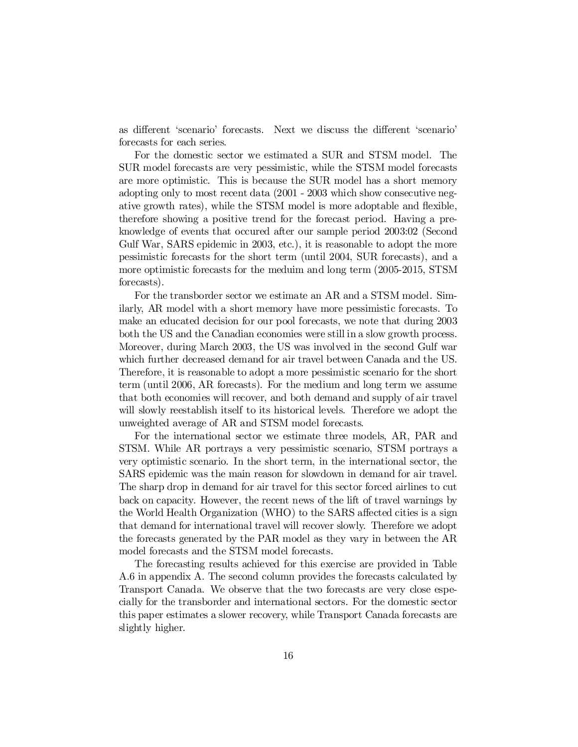as different 'scenario' forecasts. Next we discuss the different 'scenario' forecasts for each series.

For the domestic sector we estimated a SUR and STSM model. The SUR model forecasts are very pessimistic, while the STSM model forecasts are more optimistic. This is because the SUR model has a short memory adopting only to most recent data (2001 - 2003 which show consecutive negative growth rates), while the STSM model is more adoptable and flexible, therefore showing a positive trend for the forecast period. Having a preknowledge of events that occured after our sample period 2003:02 (Second Gulf War, SARS epidemic in 2003, etc.), it is reasonable to adopt the more pessimistic forecasts for the short term (until 2004, SUR forecasts), and a more optimistic forecasts for the meduim and long term (2005-2015, STSM forecasts).

For the transborder sector we estimate an AR and a STSM model. Similarly, AR model with a short memory have more pessimistic forecasts. To make an educated decision for our pool forecasts, we note that during 2003 both the US and the Canadian economies were still in a slow growth process. Moreover, during March 2003, the US was involved in the second Gulf war which further decreased demand for air travel between Canada and the US. Therefore, it is reasonable to adopt a more pessimistic scenario for the short term (until 2006, AR forecasts). For the medium and long term we assume that both economies will recover, and both demand and supply of air travel will slowly reestablish itself to its historical levels. Therefore we adopt the unweighted average of AR and STSM model forecasts.

For the international sector we estimate three models, AR, PAR and STSM. While AR portrays a very pessimistic scenario, STSM portrays a very optimistic scenario. In the short term, in the international sector, the SARS epidemic was the main reason for slowdown in demand for air travel. The sharp drop in demand for air travel for this sector forced airlines to cut back on capacity. However, the recent news of the lift of travel warnings by the World Health Organization (WHO) to the SARS affected cities is a sign that demand for international travel will recover slowly. Therefore we adopt the forecasts generated by the PAR model as they vary in between the AR model forecasts and the STSM model forecasts.

The forecasting results achieved for this exercise are provided in Table A.6 in appendix A. The second column provides the forecasts calculated by Transport Canada. We observe that the two forecasts are very close especially for the transborder and international sectors. For the domestic sector this paper estimates a slower recovery, while Transport Canada forecasts are slightly higher.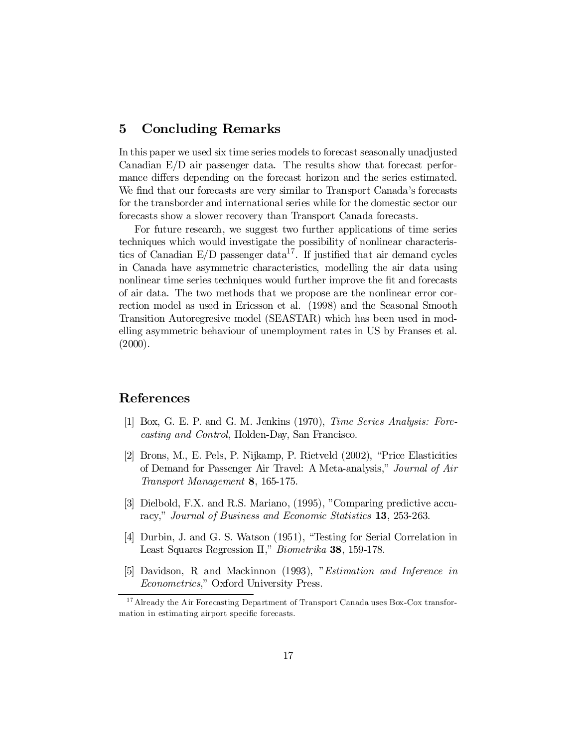# 5 Concluding Remarks

In this paper we used six time series models to forecast seasonally unadjusted Canadian E/D air passenger data. The results show that forecast performance differs depending on the forecast horizon and the series estimated. We find that our forecasts are very similar to Transport Canada's forecasts for the transborder and international series while for the domestic sector our forecasts show a slower recovery than Transport Canada forecasts.

For future research, we suggest two further applications of time series techniques which would investigate the possibility of nonlinear characteristics of Canadian  $E/D$  passenger data<sup>17</sup>. If justified that air demand cycles in Canada have asymmetric characteristics, modelling the air data using nonlinear time series techniques would further improve the fit and forecasts of air data. The two methods that we propose are the nonlinear error correction model as used in Ericsson et al. (1998) and the Seasonal Smooth Transition Autoregresive model (SEASTAR) which has been used in modelling asymmetric behaviour of unemployment rates in US by Franses et al.  $(2000).$ 

### References

- [1] Box, G. E. P. and G. M. Jenkins (1970), Time Series Analysis: Forecasting and Control, Holden-Day, San Francisco.
- [2] Brons, M., E. Pels, P. Nijkamp, P. Rietveld (2002), "Price Elasticities of Demand for Passenger Air Travel: A Meta-analysis," Journal of Air Transport Management 8, 165-175.
- [3] Dielbold, F.X. and R.S. Mariano, (1995), "Comparing predictive accuracy," Journal of Business and Economic Statistics 13, 253-263.
- [4] Durbin, J. and G. S. Watson (1951), "Testing for Serial Correlation in Least Squares Regression II," Biometrika 38, 159-178.
- [5] Davidson, R and Mackinnon (1993), "Estimation and Inference in Econometrics," Oxford University Press.

<sup>&</sup>lt;sup>17</sup> Already the Air Forecasting Department of Transport Canada uses Box-Cox transformation in estimating airport specific forecasts.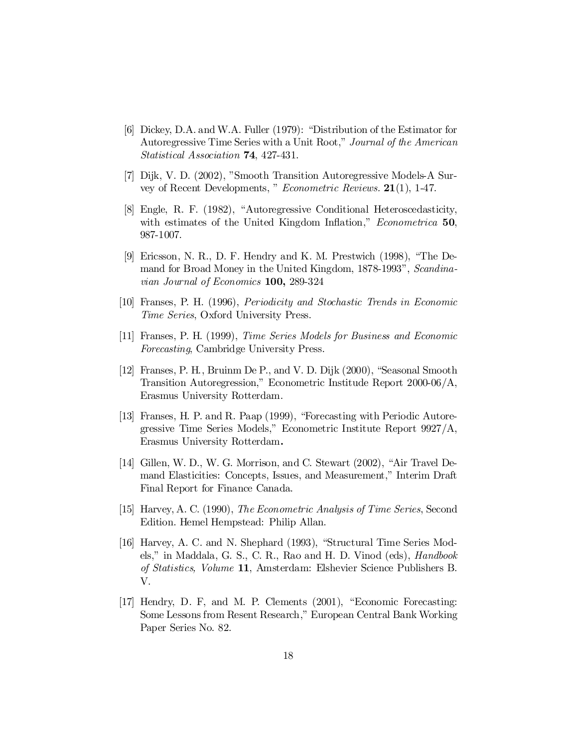- [6] Dickey, D.A. and W.A. Fuller (1979): "Distribution of the Estimator for Autoregressive Time Series with a Unit Root," Journal of the American Statistical Association 74, 427-431.
- [7] Dijk, V. D. (2002), "Smooth Transition Autoregressive Models-A Survey of Recent Developments, " Econometric Reviews. 21(1), 1-47.
- [8] Engle, R. F. (1982), "Autoregressive Conditional Heteroscedasticity, with estimates of the United Kingdom Inflation," Econometrica 50, 987-1007.
- [9] Ericsson, N. R., D. F. Hendry and K. M. Prestwich (1998), "The Demand for Broad Money in the United Kingdom, 1878-1993", Scandinavian Journal of Economics 100, 289-324
- [10] Franses, P. H. (1996), Periodicity and Stochastic Trends in Economic Time Series, Oxford University Press.
- [11] Franses, P. H. (1999), Time Series Models for Business and Economic Forecasting, Cambridge University Press.
- [12] Franses, P. H., Bruinm De P., and V. D. Dijk (2000), "Seasonal Smooth Transition Autoregression," Econometric Institude Report 2000-06/A, Erasmus University Rotterdam.
- [13] Franses, H. P. and R. Paap (1999), "Forecasting with Periodic Autoregressive Time Series Models," Econometric Institute Report 9927/A, Erasmus University Rotterdam.
- [14] Gillen, W. D., W. G. Morrison, and C. Stewart (2002), "Air Travel Demand Elasticities: Concepts, Issues, and Measurement," Interim Draft Final Report for Finance Canada.
- [15] Harvey, A. C. (1990), The Econometric Analysis of Time Series, Second Edition. Hemel Hempstead: Philip Allan.
- [16] Harvey, A. C. and N. Shephard (1993), "Structural Time Series Models," in Maddala, G. S., C. R., Rao and H. D. Vinod (eds), Handbook of Statistics, Volume 11, Amsterdam: Elshevier Science Publishers B. V.
- [17] Hendry, D. F, and M. P. Clements (2001), "Economic Forecasting: Some Lessons from Resent Research," European Central Bank Working Paper Series No. 82.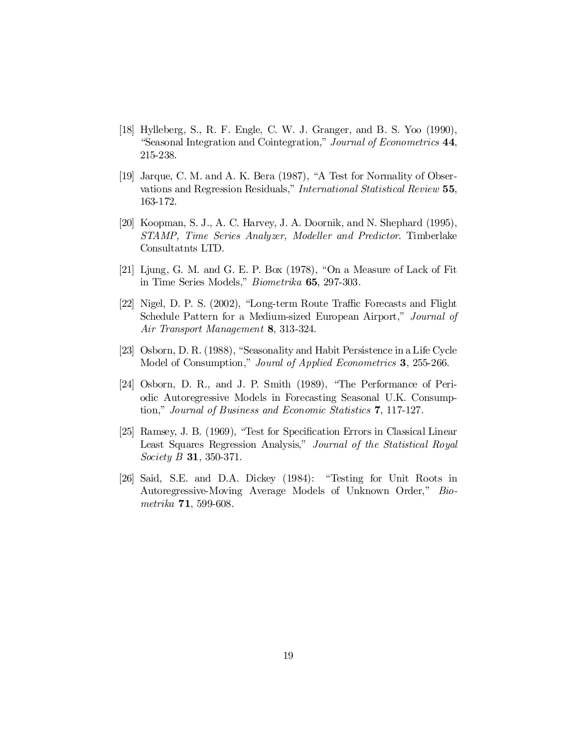- [18] Hylleberg, S., R. F. Engle, C. W. J. Granger, and B. S. Yoo (1990), "Seasonal Integration and Cointegration," Journal of Econometrics 44, 215-238.
- [19] Jarque, C. M. and A. K. Bera (1987), "A Test for Normality of Observations and Regression Residuals," International Statistical Review 55, 163-172.
- [20] Koopman, S. J., A. C. Harvey, J. A. Doornik, and N. Shephard (1995), STAMP, Time Series Analyzer, Modeller and Predictor. Timberlake Consultatnts LTD.
- [21] Ljung, G. M. and G. E. P. Box (1978), "On a Measure of Lack of Fit in Time Series Models," Biometrika 65, 297-303.
- [22] Nigel, D. P. S. (2002), "Long-term Route Traffic Forecasts and Flight Schedule Pattern for a Medium-sized European Airport," Journal of Air Transport Management 8, 313-324.
- [23] Osborn, D. R.(1988), "Seasonality and Habit Persistence in a Life Cycle Model of Consumption," Joural of Applied Econometrics 3, 255-266.
- [24] Osborn, D. R., and J. P. Smith (1989), "The Performance of Periodic Autoregressive Models in Forecasting Seasonal U.K. Consumption," Journal of Business and Economic Statistics 7, 117-127.
- [25] Ramsey, J. B. (1969), "Test for Specification Errors in Classical Linear Least Squares Regression Analysis," Journal of the Statistical Royal Society **B 31**, 350-371.
- [26] Said, S.E. and D.A. Dickey (1984): "Testing for Unit Roots in Autoregressive-Moving Average Models of Unknown Order," Biometrika 71, 599-608.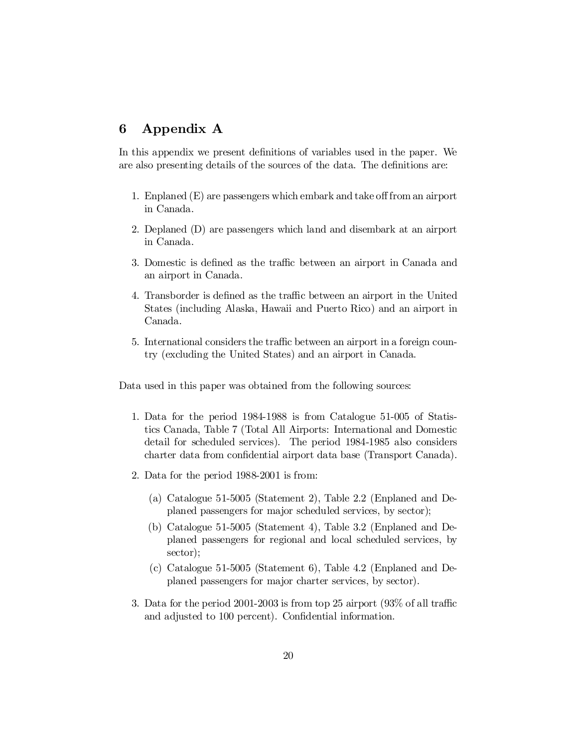# 6 Appendix A

In this appendix we present definitions of variables used in the paper. We are also presenting details of the sources of the data. The definitions are:

- 1. Enplaned  $(E)$  are passengers which embark and take off from an airport in Canada.
- 2. Deplaned (D) are passengers which land and disembark at an airport in Canada.
- 3. Domestic is defined as the traffic between an airport in Canada and an airport in Canada.
- 4. Transborder is defined as the traffic between an airport in the United States (including Alaska, Hawaii and Puerto Rico) and an airport in Canada.
- 5. International considers the traffic between an airport in a foreign country (excluding the United States) and an airport in Canada.

Data used in this paper was obtained from the following sources:

- 1. Data for the period 1984-1988 is from Catalogue 51-005 of Statistics Canada, Table 7 (Total All Airports: International and Domestic detail for scheduled services). The period 1984-1985 also considers charter data from confidential airport data base (Transport Canada).
- 2. Data for the period 1988-2001 is from:
	- (a) Catalogue 51-5005 (Statement 2), Table 2.2 (Enplaned and Deplaned passengers for major scheduled services, by sector);
	- (b) Catalogue 51-5005 (Statement 4), Table 3.2 (Enplaned and Deplaned passengers for regional and local scheduled services, by sector);
	- (c) Catalogue 51-5005 (Statement 6), Table 4.2 (Enplaned and Deplaned passengers for major charter services, by sector).
- 3. Data for the period 2001-2003 is from top 25 airport  $(93\% \text{ of all traffic})$ and adjusted to 100 percent). Confidential information.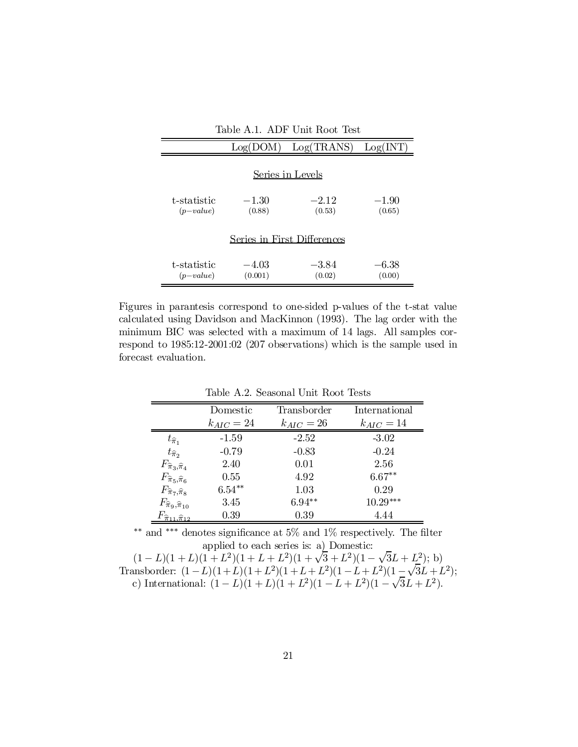| Table A.1. ADF Unit Root Test |                    |                             |                   |  |
|-------------------------------|--------------------|-----------------------------|-------------------|--|
|                               | Log(DOM)           | Log(TRANS)                  | Log(INT)          |  |
|                               |                    | Series in Levels            |                   |  |
| t-statistic<br>$(p-value)$    | $-1.30$<br>(0.88)  | $-2.12$<br>(0.53)           | $-1.90$<br>(0.65) |  |
|                               |                    | Series in First Differences |                   |  |
| t-statistic<br>$(p-value)$    | $-4.03$<br>(0.001) | $-3.84$<br>(0.02)           | $-6.38$<br>(0.00) |  |

Figures in parantesis correspond to one-sided p-values of the t-stat value calculated using Davidson and MacKinnon (1993). The lag order with the minimum BIC was selected with a maximum of 14 lags. All samples correspond to 1985:12-2001:02 (207 observations) which is the sample used in forecast evaluation.

|                                             | Domestic       | Transborder    | International  |
|---------------------------------------------|----------------|----------------|----------------|
|                                             | $k_{AIC} = 24$ | $k_{AIC} = 26$ | $k_{AIC} = 14$ |
| $t_{\widehat{\pi}_1}$                       | $-1.59$        | $-2.52$        | $-3.02$        |
| $t_{\widehat{\pi}_{2}}$                     | $-0.79$        | $-0.83$        | $-0.24$        |
| $F_{\widehat{\pi}_3,\widehat{\pi}_4}$       | 2.40           | 0.01           | 2.56           |
| $F_{\widehat{\pi}_5,\widehat{\pi}_6}$       | $0.55^{\circ}$ | 4.92           | $6.67**$       |
| $F_{\widehat{\pi}_{7},\widehat{\pi}_{8}}$   | $6.54***$      | 1.03           | 0.29           |
| $F_{\widehat{\pi}_9,\widehat{\pi}_{10}}$    | 3.45           | $6.94**$       | $10.29***$     |
| $F_{\widehat{\pi}_{11},\widehat{\pi}_{12}}$ | 0.39           | 0.39           | 4.44           |
|                                             |                |                |                |

Table A.2. Seasonal Unit Root Tests

\*\* and \*\*\* denotes significance at 5% and 1% respectively. The filter applied to each series is: a) Domestic:

 $(1 - L)(1 + L)(1 + L^2)(1 + L + L^2)(1 + \sqrt{3} + L^2)(1 - \sqrt{3}L + L^2);$  b) Transborder:  $(1 - L)(1 + L)(1 + L^2)(1 + L + L^2)(1 - L + L^2)(1 - \sqrt{3}L + L^2);$ c) International:  $(1 - L)(1 + L)(1 + L^2)(1 - L + L^2)(1 - \sqrt{3}L + L^2)$ .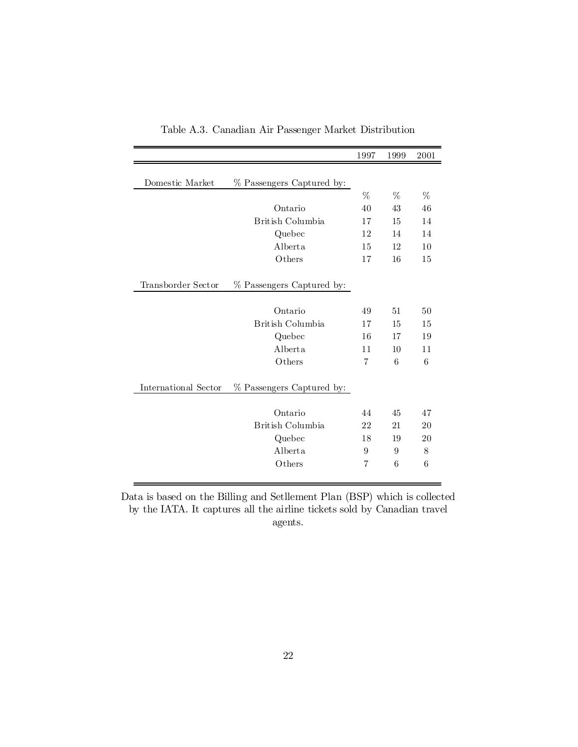|                      |                           | 1997           | 1999 | 2001 |
|----------------------|---------------------------|----------------|------|------|
|                      |                           |                |      |      |
| Domestic Market      | % Passengers Captured by: |                |      |      |
|                      |                           | %              | %    | %    |
|                      | Ontario                   | 40             | 43   | 46   |
|                      | British Columbia          | 17             | 15   | 14   |
|                      | Quebec                    | 12             | 14   | 14   |
|                      | Alberta                   | 15             | 12   | 10   |
|                      | Others                    | 17             | 16   | 15   |
| Transborder Sector   | % Passengers Captured by: |                |      |      |
|                      | Ontario                   | 49             | 51   | 50   |
|                      | British Columbia          | 17             | 15   | 15   |
|                      | Quebec                    | 16             | 17   | 19   |
|                      | Alberta                   | 11             | 10   | 11   |
|                      | Others                    | $\overline{7}$ | 6    | 6    |
| International Sector | % Passengers Captured by: |                |      |      |
|                      | Ontario                   | 44             | 45   | 47   |
|                      | British Columbia          | 22             | 21   | 20   |
|                      | Quebec                    | 18             | 19   | 20   |
|                      | Alberta                   | 9              | 9    | 8    |
|                      | Others                    | $\overline{7}$ | 6    | 6    |
|                      |                           |                |      |      |

Table A.3. Canadian Air Passenger Market Distribution

Data is based on the Billing and Setllement Plan (BSP) which is collected by the IATA. It captures all the airline tickets sold by Canadian travel agents.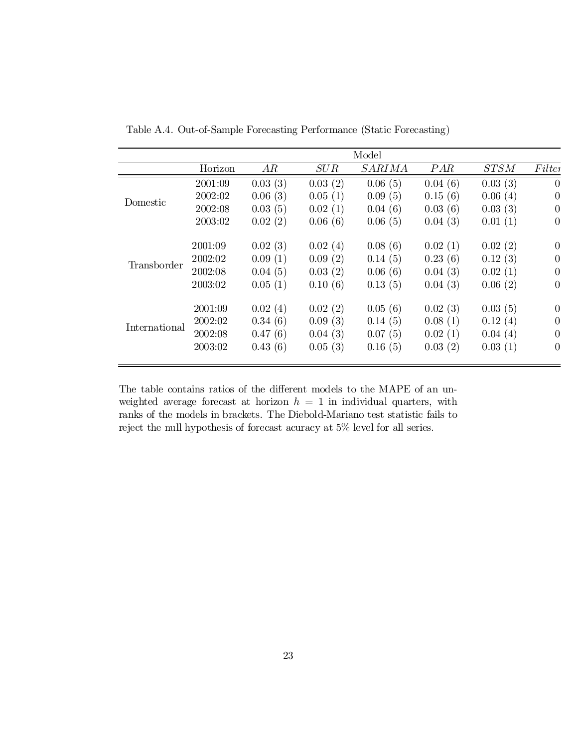|               |         |         |         | Model         |         |         |                |
|---------------|---------|---------|---------|---------------|---------|---------|----------------|
|               | Horizon | AR      | SUB     | <b>SARIMA</b> | PAR     | STSM    | Filter         |
|               | 2001:09 | 0.03(3) | 0.03(2) | 0.06(5)       | 0.04(6) | 0.03(3) | $\theta$       |
|               | 2002:02 | 0.06(3) | 0.05(1) | 0.09(5)       | 0.15(6) | 0.06(4) | $\overline{0}$ |
| Domestic      | 2002:08 | 0.03(5) | 0.02(1) | 0.04(6)       | 0.03(6) | 0.03(3) | $\theta$       |
|               | 2003:02 | 0.02(2) | 0.06(6) | 0.06(5)       | 0.04(3) | 0.01(1) | $\overline{0}$ |
|               | 2001:09 | 0.02(3) | 0.02(4) | 0.08(6)       | 0.02(1) | 0.02(2) | $\overline{0}$ |
|               | 2002:02 | 0.09(1) | 0.09(2) | 0.14(5)       | 0.23(6) | 0.12(3) | $\overline{0}$ |
| Transborder   | 2002:08 | 0.04(5) | 0.03(2) | 0.06(6)       | 0.04(3) | 0.02(1) | $\overline{0}$ |
|               | 2003:02 | 0.05(1) | 0.10(6) | 0.13(5)       | 0.04(3) | 0.06(2) | $\overline{0}$ |
|               | 2001:09 | 0.02(4) | 0.02(2) | 0.05(6)       | 0.02(3) | 0.03(5) | $\overline{0}$ |
|               | 2002:02 | 0.34(6) | 0.09(3) | 0.14(5)       | 0.08(1) | 0.12(4) | $\overline{0}$ |
| International | 2002:08 | 0.47(6) | 0.04(3) | 0.07(5)       | 0.02(1) | 0.04(4) | $\overline{0}$ |
|               | 2003:02 | 0.43(6) | 0.05(3) | 0.16(5)       | 0.03(2) | 0.03(1) | $\overline{0}$ |
|               |         |         |         |               |         |         |                |

Table A.4. Out-of-Sample Forecasting Performance (Static Forecasting)

The table contains ratios of the different models to the MAPE of an unweighted average forecast at horizon  $h = 1$  in individual quarters, with ranks of the models in brackets. The Diebold-Mariano test statistic fails to reject the null hypothesis of forecast acuracy at 5% level for all series.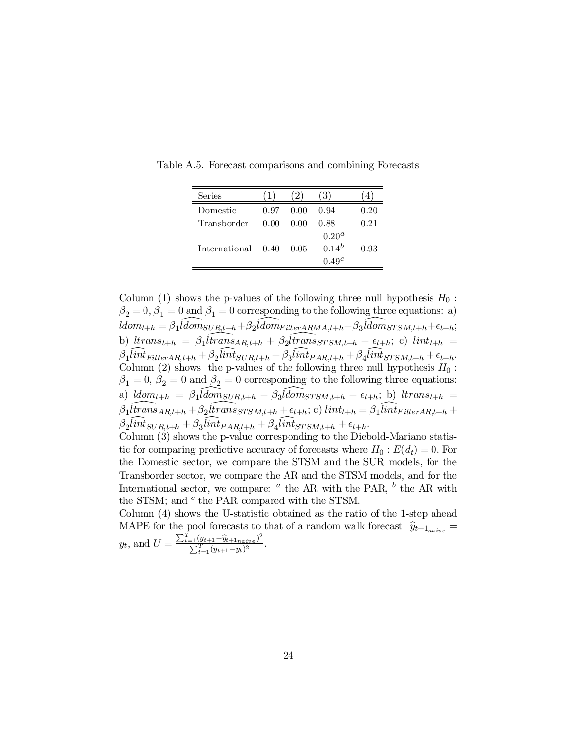| Series             |      |      |                                                      |      |
|--------------------|------|------|------------------------------------------------------|------|
| Domestic           | 0.97 | 0.00 | 0.94                                                 | 0.20 |
| Transborder        | 0.00 | 0.00 | 0.88                                                 | 0.21 |
| International 0.40 |      | 0.05 | 0.20 <sup>a</sup><br>$0.14^{b}$<br>0.49 <sup>c</sup> | 0.93 |

Table A.5. Forecast comparisons and combining Forecasts

Column (1) shows the p-values of the following three null hypothesis  $H_0$ :  $\beta_2 = 0, \beta_1 = 0$  and  $\beta_1 = 0$  corresponding to the following three equations: a)  $ldom_{t+h} = \beta_1 \widehat{ldom}_{SUR_t^t+h} + \beta_2 \widehat{ldom}_{FitterARMA,t+h} + \beta_3 \widehat{ldom}_{STSM,t+h} + \epsilon_{t+h};$ b)  $\text{I}$ trans $s_{t+h} = \beta_1 \widehat{\text{I}}$ trans $\beta_R$ <sub>t+h</sub> +  $\beta_2 \widehat{\text{I}}$ trans $\beta_T S M$ <sub>t+h</sub> +  $\epsilon_{t+h}$ ; c) lint<sub>t+h</sub> =  $\beta_1$ lint<sub>FilterAR,t+h</sub> +  $\beta_2$ lint<sub>SUR,t+h</sub> +  $\beta_3$ lint<sub>PAR,t+h</sub> +  $\beta_4$ lint<sub>STSM,t+h</sub> +  $\epsilon_{t+h}$ . Column (2) shows the p-values of the following three null hypothesis  $H_0$ :  $\beta_1 = 0, \beta_2 = 0$  and  $\beta_2 = 0$  corresponding to the following three equations: a)  $ldom_{t+h} = \beta_1 \widehat{ldom}_{SUR,t+h} + \beta_3 \widehat{ldom}_{STSM,t+h} + \epsilon_{t+h}$ ; b)  $ltrans_{t+h} =$  $\beta_1$ ltrans $AR_{t+h} + \beta_2$ ltrans $srs_{M,t+h} + \epsilon_{t+h}$ ; c) lint $_{t+h} = \beta_1$ lint $_{FitterAR,t+h} +$  $\beta_2$ lint<sub>SUR,t+h</sub> +  $\beta_3$ lint<sub>PAR,t+h</sub> +  $\beta_4$ lint<sub>STSM,t+h</sub> +  $\epsilon_{t+h}$ .

Column (3) shows the p-value corresponding to the Diebold-Mariano statistic for comparing predictive accuracy of forecasts where  $H_0: E(d_t) = 0$ . For the Domestic sector, we compare the STSM and the SUR models, for the Transborder sector, we compare the AR and the STSM models, and for the International sector, we compare:  $a$  the AR with the PAR,  $b$  the AR with the STSM; and  $^c$  the PAR compared with the STSM.

Column (4) shows the U-statistic obtained as the ratio of the 1-step ahead MAPE for the pool forecasts to that of a random walk forecast  $\hat{y}_{t+1_{naive}} = \sum_{k=1}^{n} \hat{y}_{t+k}$  $y_t$ , and  $U = \frac{\sum_{t=1}^{T} (y_{t+1} - \hat{y}_{t+1_{naive}})^2}{\sum_{t=1}^{T} (y_{t+1} - \hat{y}_t)^2}$  $\frac{\sum_{t=1}^{T} (y_{t+1} - y_t + \sum_{t=1}^{T} (y_{t+1} - y_t)^2)}$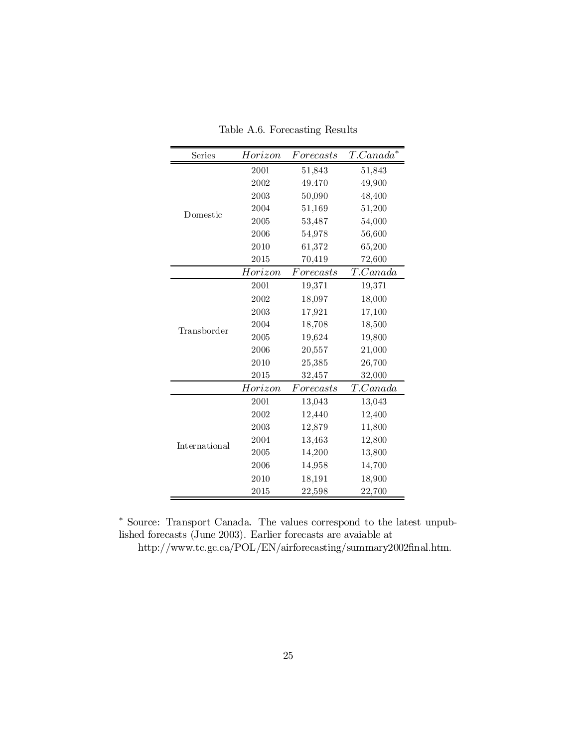| Series        | Horizon | For ecasts | $T.Canada^*$ |
|---------------|---------|------------|--------------|
|               | 2001    | 51,843     | 51,843       |
|               | 2002    | 49.470     | 49,900       |
|               | 2003    | 50,090     | 48,400       |
| Domestic      | 2004    | 51,169     | 51,200       |
|               | 2005    | 53,487     | 54,000       |
|               | 2006    | 54,978     | 56,600       |
|               | 2010    | 61,372     | 65,200       |
|               | 2015    | 70,419     | 72,600       |
|               | Horizon | Forecasts  | T.Canada     |
|               | 2001    | 19,371     | 19,371       |
|               | 2002    | 18,097     | 18,000       |
|               | 2003    | 17,921     | 17,100       |
| Transborder   | 2004    | 18,708     | 18,500       |
|               | 2005    | 19,624     | 19,800       |
|               | 2006    | 20,557     | 21,000       |
|               | 2010    | 25,385     | 26,700       |
|               | 2015    | 32,457     | 32,000       |
|               | Horizon | For ecasts | T.Canada     |
|               | 2001    | 13,043     | 13,043       |
|               | 2002    | 12,440     | 12,400       |
|               | 2003    | 12,879     | 11,800       |
| International | 2004    | 13,463     | 12,800       |
|               | 2005    | 14,200     | 13,800       |
|               | 2006    | 14,958     | 14,700       |
|               | 2010    | 18,191     | 18,900       |
|               | 2015    | 22,598     | 22,700       |

Table A.6. Forecasting Results

¤ Source: Transport Canada. The values correspond to the latest unpublished forecasts (June 2003). Earlier forecasts are avaiable at

http://www.tc.gc.ca/POL/EN/airforecasting/summary2002final.htm.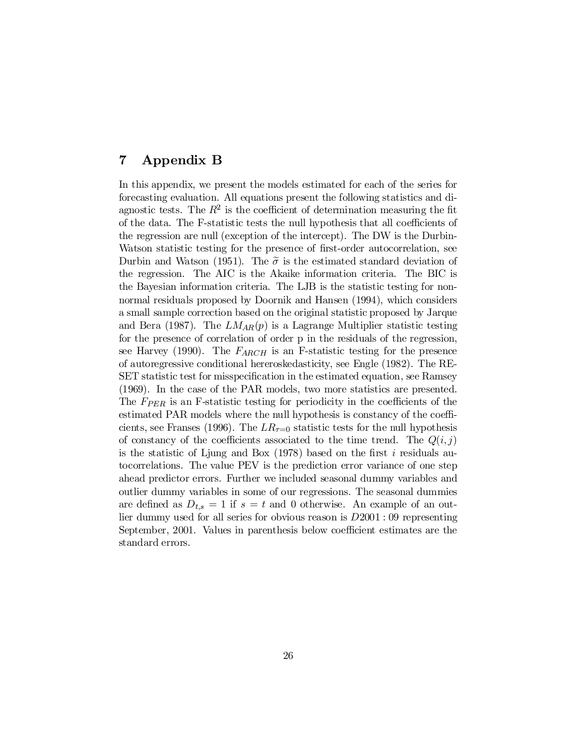# 7 Appendix B

In this appendix, we present the models estimated for each of the series for forecasting evaluation. All equations present the following statistics and diagnostic tests. The  $R^2$  is the coefficient of determination measuring the fit of the data. The F-statistic tests the null hypothesis that all coefficients of the regression are null (exception of the intercept). The DW is the Durbin-Watson statistic testing for the presence of first-order autocorrelation, see Durbin and Watson (1951). The  $\tilde{\sigma}$  is the estimated standard deviation of the regression. The AIC is the Akaike information criteria. The BIC is the Bayesian information criteria. The LJB is the statistic testing for nonnormal residuals proposed by Doornik and Hansen (1994), which considers a small sample correction based on the original statistic proposed by Jarque and Bera (1987). The  $LM_{AR}(p)$  is a Lagrange Multiplier statistic testing for the presence of correlation of order p in the residuals of the regression, see Harvey (1990). The  $F_{ARCH}$  is an F-statistic testing for the presence of autoregressive conditional hereroskedasticity, see Engle (1982). The RE-SET statistic test for misspecification in the estimated equation, see Ramsey (1969). In the case of the PAR models, two more statistics are presented. The  $F_{PER}$  is an F-statistic testing for periodicity in the coefficients of the estimated PAR models where the null hypothesis is constancy of the coefficients, see Franses (1996). The  $LR_{\tau=0}$  statistic tests for the null hypothesis of constancy of the coefficients associated to the time trend. The  $Q(i,j)$ is the statistic of Ljung and Box (1978) based on the first i residuals autocorrelations. The value PEV is the prediction error variance of one step ahead predictor errors. Further we included seasonal dummy variables and outlier dummy variables in some of our regressions. The seasonal dummies are defined as  $D_{t,s} = 1$  if  $s = t$  and 0 otherwise. An example of an outlier dummy used for all series for obvious reason is D2001 : 09 representing September, 2001. Values in parenthesis below coefficient estimates are the standard errors.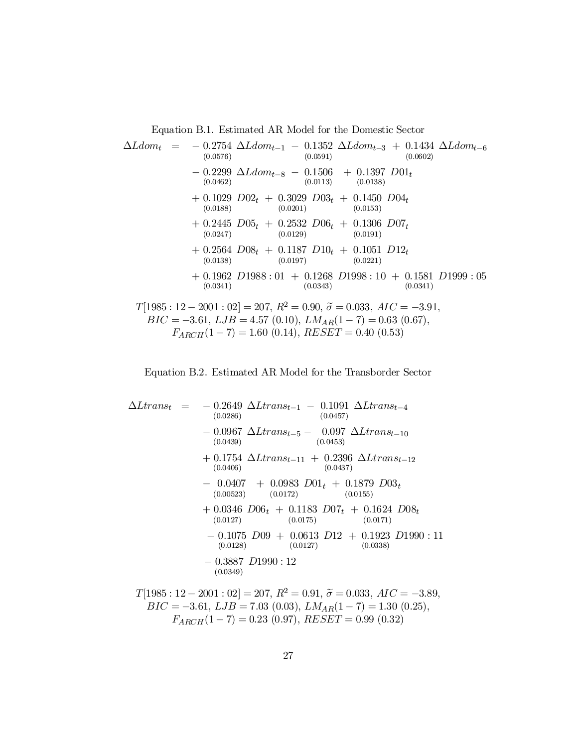Equation B.1. Estimated AR Model for the Domestic Sector

$$
\Delta Ldom_t = -0.2754 \Delta Ldom_{t-1} - 0.1352 \Delta Ldom_{t-3} + 0.1434 \Delta Ldom_{t-6}
$$
  
\n
$$
- 0.2299 \Delta Ldom_{t-8} - 0.1506 + 0.1397 D01_t
$$
  
\n
$$
+ 0.1029 D02_t + 0.3029 D03_t + 0.1450 D04_t
$$
  
\n
$$
+ 0.2445 D05_t + 0.2532 D06_t + 0.1396 D07_t
$$
  
\n
$$
+ 0.2564 D08_t + 0.1187 D10_t + 0.1051 D12_t
$$
  
\n
$$
+ 0.2564 D08_t + 0.1187 D10_t + 0.1051 D12_t
$$
  
\n
$$
+ 0.1962 D1988 : 01 + 0.1268 D1998 : 10 + 0.1581 D1999 : 05
$$
  
\n
$$
+ 0.1962 D1988 : 01 + 0.1268 D1998 : 10 + 0.1581 D1999 : 05
$$
  
\n
$$
+ 0.0341)
$$
  
\n
$$
T[1985 : 12 - 2001 : 02] = 207, R^2 = 0.90, \tilde{\sigma} = 0.033, AIC = -3.91,
$$
  
\n
$$
BIC = -3.61, LJB = 4.57 (0.10), LMA_R(1 - 7) = 0.63 (0.67),
$$

$$
F_{ARCH}(1-7) = 1.60 (0.14), \, RESET = 0.40 (0.53)
$$



$$
\Delta Ltrans_{t} = -0.2649 \Delta Ltrans_{t-1} - 0.1091 \Delta Ltrans_{t-4}
$$
\n
$$
= -0.0967 \Delta Ltrans_{t-5} - 0.097 \Delta Ltrans_{t-10}
$$
\n
$$
= 0.0967 \Delta Ltrans_{t-5} - 0.097 \Delta Ltrans_{t-10}
$$
\n
$$
= 0.0407 \Delta Ltrans_{t-11} + 0.2396 \Delta Ltrans_{t-12}
$$
\n
$$
= 0.0407 + 0.0983 \cdot 0.01t + 0.1879 \cdot 0.03t
$$
\n
$$
= 0.0407 + 0.0983 \cdot 0.01t + 0.1879 \cdot 0.03t
$$
\n
$$
= 0.0346 \cdot 0.06t + 0.1183 \cdot 0.07t + 0.1624 \cdot 0.08t
$$
\n
$$
= 0.0127 \quad (0.0175)
$$
\n
$$
= 0.1075 \cdot 0.09 + 0.0613 \cdot 0.12 + 0.1923 \cdot 0.1990 : 11
$$
\n
$$
= 0.3887 \cdot 0.1990 : 12
$$
\n
$$
= 0.3887 \cdot 0.099 : 12
$$
\n
$$
= 0.0338 \cdot 0.0127 \quad (0.0338)
$$
\n
$$
= 0.77 \cdot R^2 = 0.91, \tilde{\sigma} = 0.033, \, AIC = -3.89,
$$

$$
T[1985 : 12 - 2001 : 02] = 207, R^2 = 0.91, \tilde{\sigma} = 0.033, AIC = -3.89,
$$
  
\n
$$
BIC = -3.61, LJB = 7.03 (0.03), LMAAR(1 - 7) = 1.30 (0.25),
$$
  
\n
$$
F_{ARCH}(1 - 7) = 0.23 (0.97), RESET = 0.99 (0.32)
$$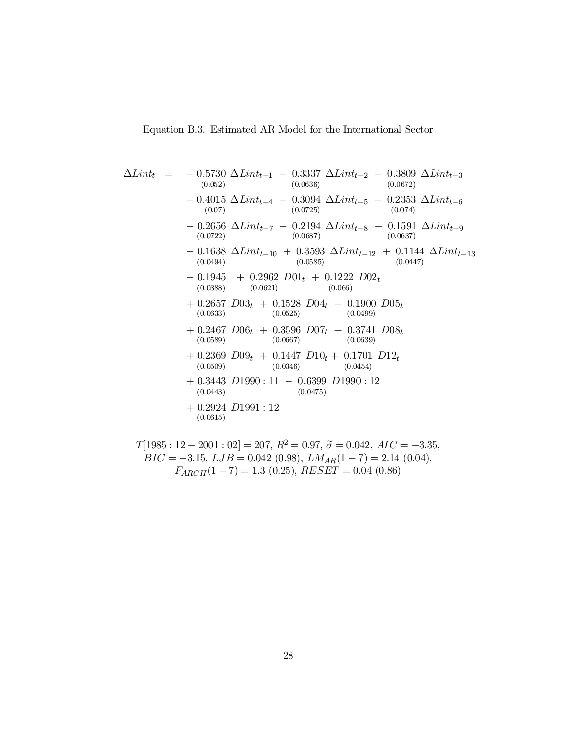$$
\Delta Lint_{t} = -0.5730 \Delta Lint_{t-1} - 0.3337 \Delta Lint_{t-2} - 0.3809 \Delta Lint_{t-3} \n(0.052) (0.0636) (0.0672) \n- 0.4015 \Delta Lint_{t-4} - 0.3094 \Delta Lint_{t-5} - 0.2353 \Delta Lint_{t-6} \n(0.07) (0.0725) (0.074) \n- 0.2656 \Delta Lint_{t-7} - 0.2194 \Delta Lint_{t-8} - 0.1591 \Delta Lint_{t-9} \n(0.0722) (0.0687) (0.0637) \n- 0.1638 \Delta Lint_{t-10} + 0.3593 \Delta Lint_{t-12} + 0.1144 \Delta Lint_{t-13} \n(0.0494) (0.0585) (0.0447) \n- 0.1945 + 0.2962 D01t + 0.1222 D02t \n(0.0888) (0.0621) (0.066) \n+ 0.2657 D03t + 0.1528 D04t + 0.1900 D05t \n(0.0633) (0.0625) (0.0499) \n+ 0.2467 D06t + 0.3596 D07t + 0.3741 D08t \n(0.0689) (0.0667) (0.0639) \n+ 0.2369 D09t + 0.1447 D10t + 0.1701 D12t \n(0.0609) (0.0346) (0.0454) \n+ 0.3443 D1990 : 11 - 0.6399 D1990 : 12 \n(0.0443) (0.0475) \n+ 0.2924 D1991 : 12
$$

$$
T[1985:12-2001:02] = 207, R^2 = 0.97, \tilde{\sigma} = 0.042, AIC = -3.35,
$$
  
\n
$$
BIC = -3.15, LJB = 0.042 (0.98), LM_{AR}(1-7) = 2.14 (0.04),
$$
  
\n
$$
F_{ARCH}(1-7) = 1.3 (0.25), RESET = 0.04 (0.86)
$$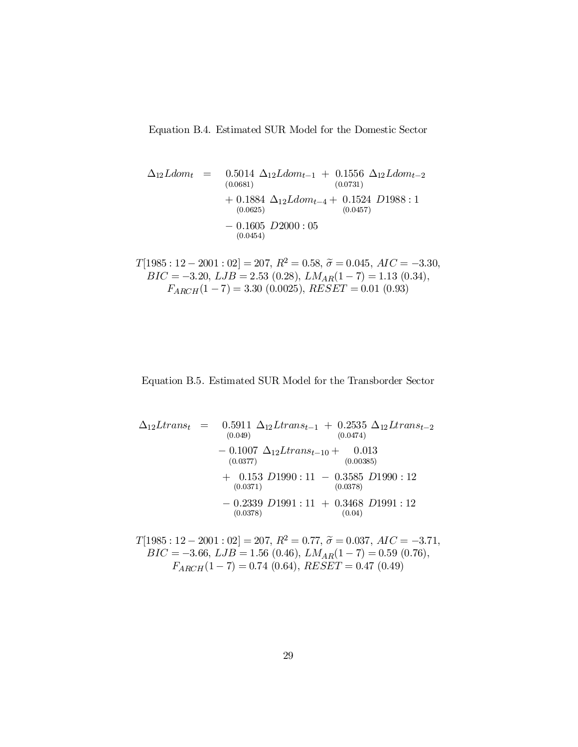Equation B.4. Estimated SUR Model for the Domestic Sector

$$
\Delta_{12} Ldom_t = 0.5014 \Delta_{12} Ldom_{t-1} + 0.1556 \Delta_{12} Ldom_{t-2}
$$
  
\n(0.0681)  
\n
$$
+ 0.1884 \Delta_{12} Ldom_{t-4} + 0.1524 D1988 : 1
$$
  
\n(0.0625)  
\n
$$
- 0.1605 D2000 : 05
$$
  
\n(0.0454)

 $T[1985 : 12 - 2001 : 02] = 207, R^2 = 0.58, \tilde{\sigma} = 0.045, AIC = -3.30, RIG = 3.30, RIG = 3.30, LIG = 3.52, (0.33), LIG = (1, 7), LIG = 3.30,$  $BIC = -3.20, \, LJB = 2.53 \ (0.28), \, LM_{AR}(1-7) = 1.13 \ (0.34),$  $F_{ARCH}(1-7) = 3.30 \ (0.0025), \ RESET = 0.01 \ (0.93)$ 

#### Equation B.5. Estimated SUR Model for the Transborder Sector

$$
\Delta_{12} Ltrans_{t} = 0.5911 \Delta_{12} Ltrans_{t-1} + 0.2535 \Delta_{12} Ltrans_{t-2}
$$
  
\n(0.049)  
\n
$$
- 0.1007 \Delta_{12} Ltrans_{t-10} + 0.013
$$
  
\n(0.0377)  
\n
$$
+ 0.153 D1990 : 11 - 0.3585 D1990 : 12
$$
  
\n(0.0371)  
\n
$$
- 0.2339 D1991 : 11 + 0.3468 D1991 : 12
$$
  
\n(0.0378)  
\n
$$
- 0.2339 D1991 : 11 + 0.3468 D1991 : 12
$$
  
\n(0.04)

$$
T[1985 : 12 - 2001 : 02] = 207, R^2 = 0.77, \tilde{\sigma} = 0.037, AIC = -3.71,
$$
  
\n
$$
BIC = -3.66, LJB = 1.56 (0.46), LMA_R(1 - 7) = 0.59 (0.76),
$$
  
\n
$$
F_{ARCH}(1 - 7) = 0.74 (0.64), RESET = 0.47 (0.49)
$$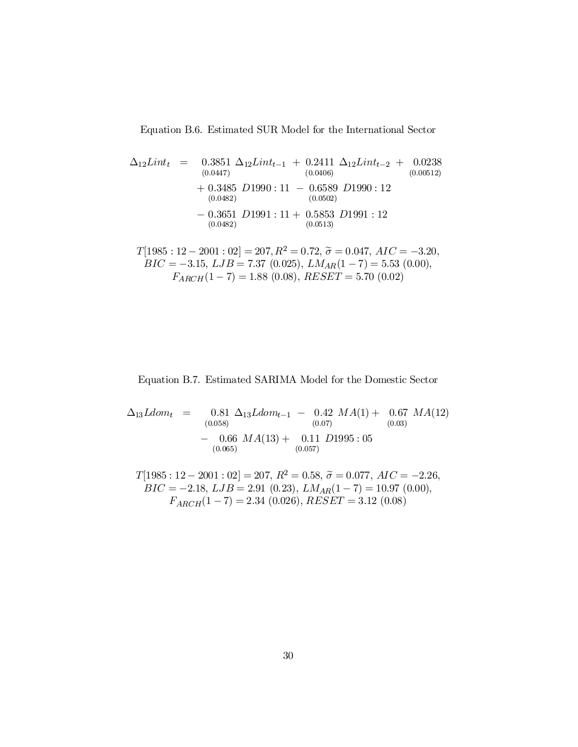Equation B.6. Estimated SUR Model for the International Sector

$$
\Delta_{12}Limit_{t} = 0.3851 \Delta_{12} Limit_{t-1} + 0.2411 \Delta_{12} Limit_{t-2} + 0.0238 \n(0.0447) \qquad (0.0406) \n+ 0.3485 D1990 : 11 - 0.6589 D1990 : 12 \n(0.0482) \qquad (0.0502) \n- 0.3651 D1991 : 11 + 0.5853 D1991 : 12 \n(0.0482) \qquad (0.0513)
$$

$$
T[1985 : 12 - 2001 : 02] = 207, R^2 = 0.72, \tilde{\sigma} = 0.047, AIC = -3.20,
$$
  
\n
$$
BIC = -3.15, LJB = 7.37 (0.025), LMA_R(1 - 7) = 5.53 (0.00),
$$
  
\n
$$
F_{ARCH}(1 - 7) = 1.88 (0.08), RESET = 5.70 (0.02)
$$

Equation B.7. Estimated SARIMA Model for the Domestic Sector

 $\Delta_{13}Ldom_t = 0.81$  $0.81 \Delta_{13} L dom_{t-1} - 0.42$ <br>(0.058) (0.07)  $MA(1) + 0.67$  $(0.03)$  $MA(12)$  $-$  0.66<br>(0.065)  $MA(13) + 0.11$  $(0.057)$  $D1995:05$ 

 $T[1985:12-2001:02] = 207, R^2 = 0.58, \tilde{\sigma} = 0.077, AIC = -2.26,$  $BIC = -2.18, LJB = 2.91 (0.23), LMA_R(1 - 7) = 10.97 (0.00),$  $F_{ARCH}(1-7) = 2.34 (0.026), RESET = 3.12 (0.08)$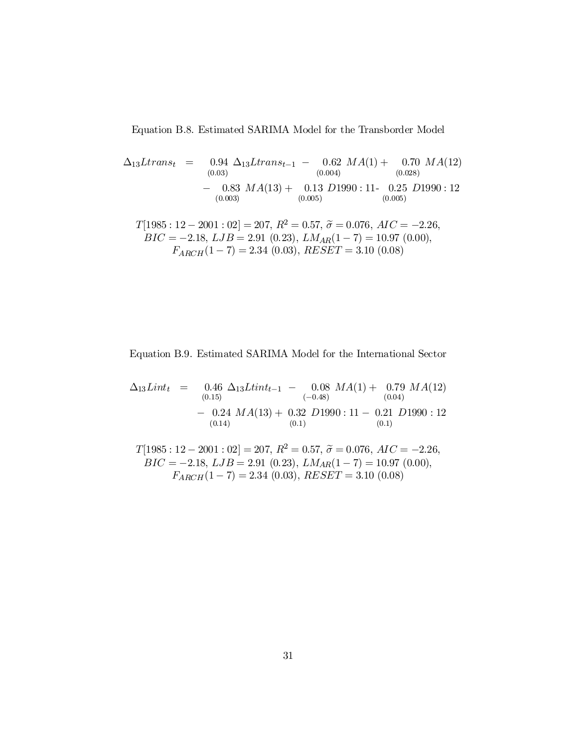Equation B.8. Estimated SARIMA Model for the Transborder Model

$$
\Delta_{13} Ltrans_t = 0.94 \ \Delta_{13} Ltrans_{t-1} - 0.62 \ MA(1) + 0.70 \ MA(12)
$$
  
\n(0.03)  
\n(0.004)  
\n(0.028)  
\n(0.028)  
\n(0.030)  
\n(0.030)  
\n(0.003)  
\n(0.005)  
\n(0.005)  
\n(0.006)  
\n(0.007) P<sup>2</sup> = 0.57  $\tilde{z} = 0.076$   $AC = -2.36$ 

 $T[1985:12-2001:02] = 207, R^2 = 0.57, \tilde{\sigma} = 0.076, AIC = -2.26,$  $BIC = -2.18, LJB = 2.91 (0.23), LM_{AR}(1 - 7) = 10.97 (0.00),$  $F_{ARCH}(1 - 7) = 2.34(0.03), RESET = 3.10(0.08)$ 

Equation B.9. Estimated SARIMA Model for the International Sector

$$
\Delta_{13} Lint_{t} = 0.46 \Delta_{13} Ltint_{t-1} - 0.08 MA(1) + 0.79 MA(12)
$$
  
\n
$$
- 0.24 MA(13) + 0.32 D1990 : 11 - 0.21 D1990 : 12
$$
  
\n
$$
(-0.48)
$$
  
\n
$$
0.04)
$$
  
\n
$$
(-0.48)
$$
  
\n
$$
0.04)
$$
  
\n
$$
(-0.48)
$$
  
\n
$$
(-0.04)
$$
  
\n
$$
(-0.04)
$$
  
\n
$$
(-0.04)
$$
  
\n
$$
(-0.04)
$$
  
\n
$$
(-0.04)
$$
  
\n
$$
(-0.04)
$$
  
\n
$$
(-0.04)
$$
  
\n
$$
(-0.04)
$$
  
\n
$$
(-0.04)
$$
  
\n
$$
(-0.04)
$$
  
\n
$$
(-0.04)
$$
  
\n
$$
(-0.04)
$$
  
\n
$$
(-0.04)
$$
  
\n
$$
(-0.04)
$$
  
\n
$$
(-0.04)
$$

 $T[1985:12-2001:02] = 207, R^2 = 0.57, \tilde{\sigma} = 0.076, AIC = -2.26,$  $BIC = -2.18, LJB = 2.91 (0.23), LMAR(1 - 7) = 10.97 (0.00),$  $F_{ARCH}(1 - 7) = 2.34(0.03), RESET = 3.10(0.08)$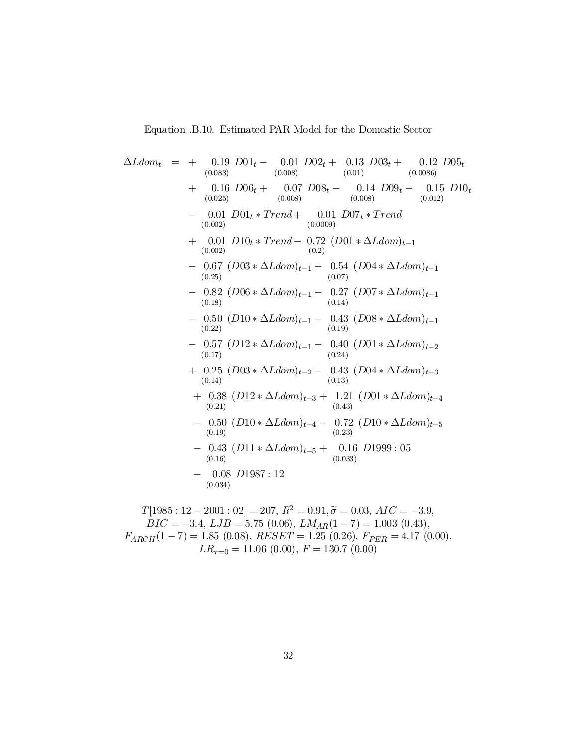$$
\Delta Ldom_t = + \n\begin{array}{rcl}\n0.19 \quad D01_t - \n0.01 \quad D02_t + \n0.13 \quad D03_t + \n0.12 \quad D05_t \\
(0.083) & (0.008) & (0.01) & (0.0086) \\
(0.025) & (0.008) & (0.01) & (0.0086) \\
(0.025) & (0.008) & (0.08) & (0.012) \\
(0.002) & - \n0.01 \quad D101_t * Trend + \n0.01 \quad D07_t * Trend \\
(0.002) & (0.0000) & (0.01) & (0.01) \\
(0.002) & - \n0.67 \quad (D03 * \Delta Ldom)_{t-1} - \n0.54 \quad (D04 * \Delta Ldom)_{t-1} \\
(0.25) & (0.07) & (0.07) \\
- \n0.82 \quad (D06 * \Delta Ldom)_{t-1} - \n0.27 \quad (D07 * \Delta Ldom)_{t-1} \\
(0.18) & - \n0.50 \quad (D10 * \Delta Ldom)_{t-1} - \n0.43 \quad (D08 * \Delta Ldom)_{t-1} \\
(0.19) & - \n0.57 \quad (D12 * \Delta Ldom)_{t-1} - \n0.40 \quad (D01 * \Delta Ldom)_{t-2} \\
(0.17) & + \n0.25 \quad (D03 * \Delta Ldom)_{t-2} - \n0.43 \quad (D04 * \Delta Ldom)_{t-3} \\
(0.14) & (0.13) & + \n0.38 \quad (D12 * \Delta Ldom)_{t-3} + \n0.21 \quad (D01 * \Delta Ldom)_{t-4} \\
(0.21) & - \n0.50 \quad (D10 * \Delta Ldom)_{t-4} - \n0.72 \quad (D10 * \Delta Ldom)_{t-5} \\
(0.19) & - \n0.43 \quad (D11 * \Delta Ldom)_{t-5} + \n0.16 \quad D1999 : 05 \\
(0.16) & - \n0.08 \quad D1987 : 12 \\
(0.034) & - \n0.08 \quad D1987 : 12 \\
(0.030)
$$

$$
LR_{\tau=0} = 11.06 \ (0.00), \ F = 130.7 \ (0.00)
$$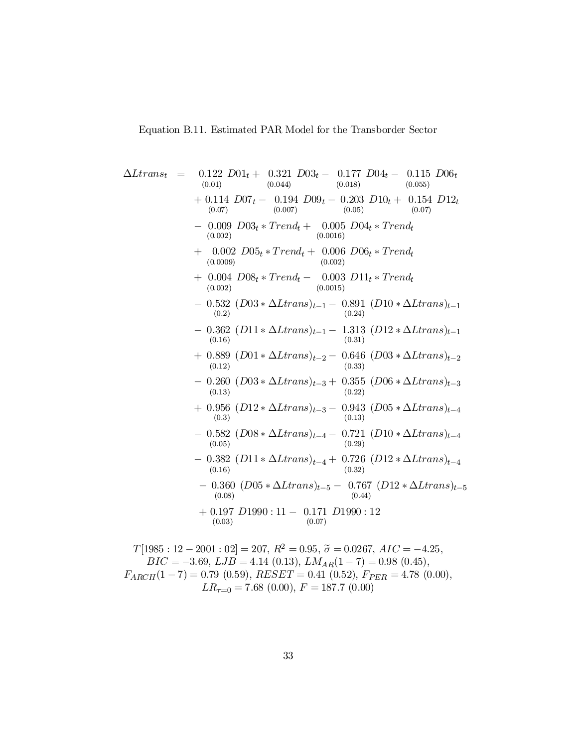$$
\Delta Ltrans_{t} = 0.122 D01_{t} + 0.321 D03_{t} - 0.177 D04_{t} - 0.115 D06_{t}
$$
\n(0.01)  
\n
$$
+ 0.114 D07_{t} - 0.194 D09_{t} - 0.203 D10_{t} + 0.154 D12_{t}
$$
\n(0.07)  
\n
$$
- 0.009 D03_{t} * Trend_{t} + 0.005 D04_{t} * Trend_{t}
$$
\n(0.002)  
\n
$$
+ 0.002 D05_{t} * Trend_{t} + 0.006 D06_{t} * Trend_{t}
$$
\n(0.003)  
\n
$$
+ 0.004 D08_{t} * Trend_{t} - 0.003 D11_{t} * Trend_{t}
$$
\n(0.002)  
\n
$$
+ 0.004 D08_{t} * Trend_{t} - 0.003 D11_{t} * Trend_{t}
$$
\n(0.003)  
\n
$$
- 0.532 (D03 * \Delta Ltrans)_{t-1} - 0.891 (D10 * \Delta Ltrans)_{t-1}
$$
\n(0.2)  
\n
$$
- 0.532 (D03 * \Delta Ltrans)_{t-1} - 1.313 (D12 * \Delta Ltrans)_{t-1}
$$
\n(0.3)  
\n
$$
+ 0.889 (D01 * \Delta Ltrans)_{t-2} - 0.646 (D03 * \Delta Ltrans)_{t-2}
$$
\n(0.3)  
\n
$$
- 0.260 (D03 * \Delta Ltrans)_{t-3} + 0.355 (D06 * \Delta Ltrans)_{t-3}
$$
\n(0.3)  
\n
$$
+ 0.956 (D12 * \Delta Ltrans)_{t-3} - 0.943 (D5 * \Delta Ltrans)_{t-4}
$$
\n(0.3)  
\n
$$
- 0.582 (D08 * \Delta Ltrans)_{t-4} - 0.721 (D10 * \Delta Ltrans)_{t-4}
$$
\n(0.05)  
\n
$$
- 0.380 (D05 * \Delta Ltrans)_{t
$$

$$
T[1985 : 12 - 2001 : 02] = 207, R^2 = 0.95, \tilde{\sigma} = 0.0267, AIC = -4.25,
$$
  
\n
$$
BIC = -3.69, LJB = 4.14 (0.13), LM_{AR}(1 - 7) = 0.98 (0.45),
$$
  
\n
$$
F_{ARCH}(1 - 7) = 0.79 (0.59), RESET = 0.41 (0.52), F_{PER} = 4.78 (0.00),
$$
  
\n
$$
LR_{\tau=0} = 7.68 (0.00), F = 187.7 (0.00)
$$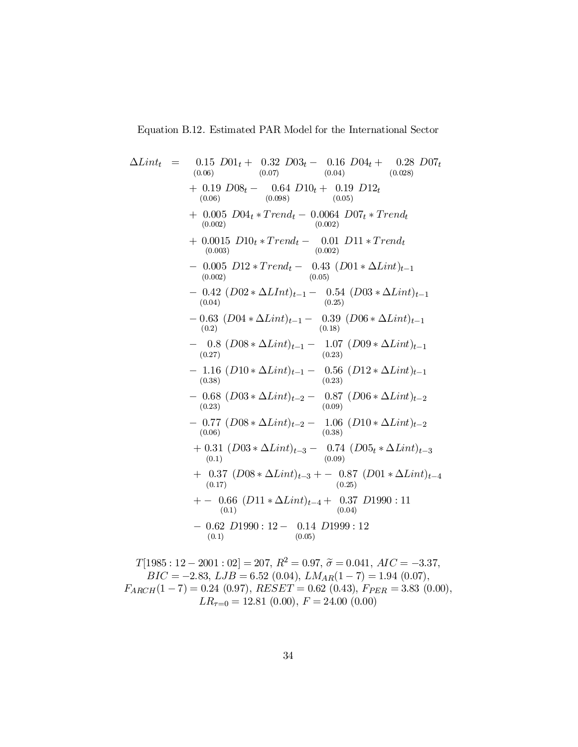Equation B.12. Estimated PAR Model for the International Sector

 $\Delta Lint_t =$  $(0.06)$  $D01_t + 0.32 \cdot D03_t - 0.16 \cdot D04_t + 0.28$  $(0.07)$  $(0.04)$ (0:028)  $0.28$   $D07_t$  $+$  0.19  $D08_t -$  0.64  $(0.06)$ (0:098)  $D10_t + 0.19 \text{ } D12_t$  $(0.05)$  $+ 0.005$   $D04_t * Trend_t - 0.0064$   $D07_t * Trend_t$  $(0.002)$  $(0.002)$  $+ 0.0015 \text{ } D10_t * Trend_t - 0.01 \text{ } D11 * Trend_t$  $(0.003)$  $(0.002)$  $-$  0.005 D12 \* Trend<sub>t</sub>  $-$  0.43  $(D01 * \Delta Lint)_{t-1}$  $(0.002)$  $(0.05)$  $-$  0.42  $(D02 * \Delta L Int)_{t-1}$   $-$  0.54  $(D03 * \Delta L int)_{t-1}$ <br>(0.04)  $-0.63$   $(D04*\Delta Lint)_{t-1}$   $-$  0.39  $(D06*\Delta Lint)_{t-1}$  $(0.2)$  $(0.18)$  $-$  0.8  $(D08 * \Delta Lint)_{t-1}$   $-$  1.07  $(D09 * \Delta Lint)_{t-1}$  $(0.27)$  $(0.23)$  $-$  1.16  $(D10 * \Delta Lint)_{t-1}$   $-$  0.56  $(D12 * \Delta Lint)_{t-1}$  $(0.38)$  $(0.23)$  $- 0.68 \ (D03 * \Delta Lint)_{t=2} - 0.87 \ (D06 * \Delta Lint)_{t=2}$ <br>(0.09)  $- 0.77 \left( D08 * \Delta Lint \right)_{t=2} - 1.06 \left( D10 * \Delta Lint \right)_{t=2}$ <br>(0.06)  $+ 0.31 (D03 * \Delta Lint)_{t=3} - 0.74 (D05_t * \Delta Lint)_{t=3}$  $(0.1)$  $(0.09)$  $+$  0.37  $(D08 * \Delta Lint)_{t=3}$  + - 0.87  $(D01 * \Delta Lint)_{t=4}$  $(0.17)$  $(0.25)$  $+ - 0.66$   $(D11 * \Delta Lint)_{t-4} + 0.37$   $D1990 : 11$  $(0.1)$  $(0.04)$  $-0.62$   $D1990$ :  $12 - 0.14$   $D1999$ :  $12$  $(0.1)$  $(0.05)$ 

$$
T[1985 : 12 - 2001 : 02] = 207, R^2 = 0.97, \tilde{\sigma} = 0.041, AIC = -3.37,
$$
  
\n
$$
BIC = -2.83, LJB = 6.52 (0.04), LMA_R(1 - 7) = 1.94 (0.07),
$$
  
\n
$$
F_{ARCH}(1 - 7) = 0.24 (0.97), RESET = 0.62 (0.43), F_{PER} = 3.83 (0.00),
$$
  
\n
$$
LR_{\tau=0} = 12.81 (0.00), F = 24.00 (0.00)
$$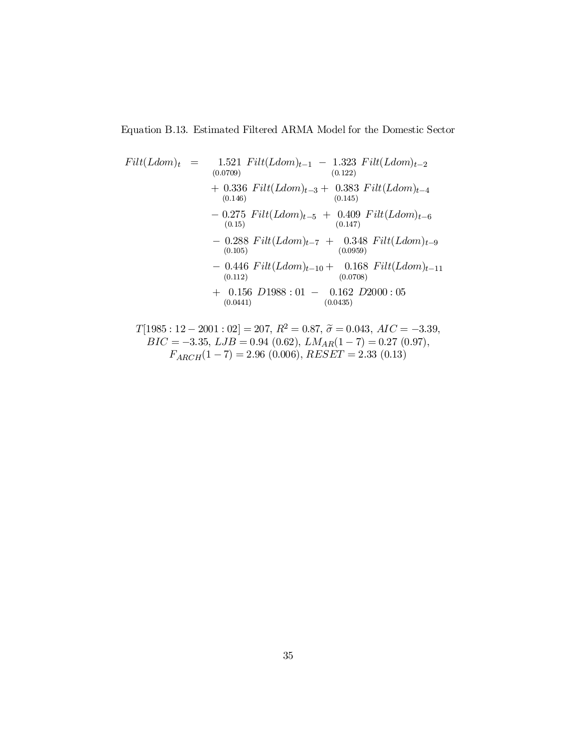Equation B.13. Estimated Filtered ARMA Model for the Domestic Sector

$$
Filt(Ldom)_t = 1.521 \text{ } Filt(Ldom)_{t-1} - 1.323 \text{ } Filt(Ldom)_{t-2}
$$
\n
$$
+ 0.336 \text{ } Filt(Ldom)_{t-3} + 0.383 \text{ } Filt(Ldom)_{t-4}
$$
\n
$$
+ 0.336 \text{ } Filt(Ldom)_{t-3} + 0.383 \text{ } Filt(Ldom)_{t-4}
$$
\n
$$
- 0.275 \text{ } Filt(Ldom)_{t-5} + 0.409 \text{ } Filt(Ldom)_{t-6}
$$
\n
$$
+ 0.388 \text{ } Filt(Ldom)_{t-7} + 0.348 \text{ } Filt(Ldom)_{t-9}
$$
\n
$$
+ 0.288 \text{ } Filt(Ldom)_{t-7} + 0.348 \text{ } Filt(Ldom)_{t-9}
$$
\n
$$
+ 0.156 \text{ } Filt(Ldom)_{t-10} + 0.168 \text{ } Filt(Ldom)_{t-11}
$$
\n
$$
+ 0.156 \text{ } D1988 : 01 - 0.162 \text{ } D2000 : 05
$$
\n
$$
+ 0.0441)
$$

$$
T[1985:12-2001:02] = 207, R^2 = 0.87, \tilde{\sigma} = 0.043, AIC = -3.39,
$$
  
\n
$$
BIC = -3.35, LJB = 0.94 (0.62), LMA_R(1 - 7) = 0.27 (0.97),
$$
  
\n
$$
F_{ARCH}(1 - 7) = 2.96 (0.006), RESET = 2.33 (0.13)
$$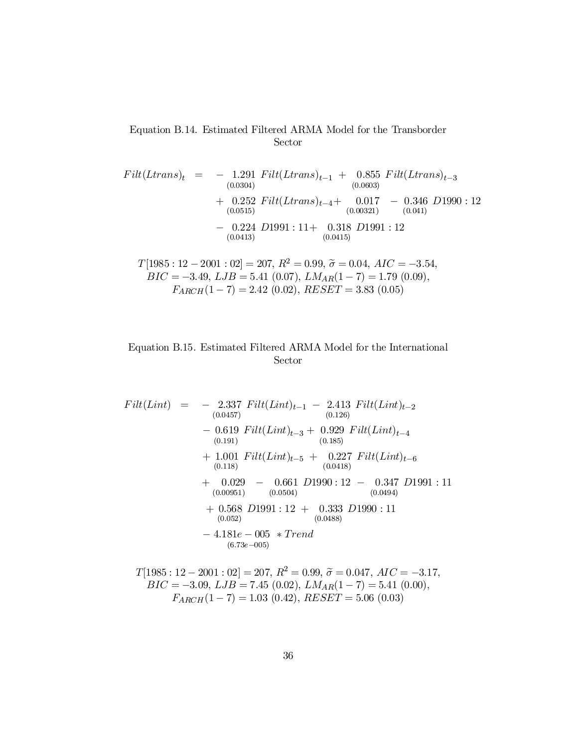# Equation B.14. Estimated Filtered ARMA Model for the Transborder Sector

$$
Filt(Ltrans)_{t} = -1.291 \text{ Filt}(Ltrans)_{t-1} + 0.855 \text{ Filt}(Ltrans)_{t-3} \n+ 0.252 \text{ Filt}(Ltrans)_{t-4} + 0.017 - 0.346 \text{ D1990 : } 12 \n+ 0.252 \text{ Filt}(Ltrans)_{t-4} + 0.017 - 0.346 \text{ D1990 : } 12 \n+ 0.224 \text{ D1991 : } 11 + 0.318 \text{ D1991 : } 12 \n+ 0.0413 \text{ D1991 : } 12
$$

$$
T[1985:12-2001:02] = 207, R^2 = 0.99, \tilde{\sigma} = 0.04, AIC = -3.54,
$$
  
\n
$$
BIC = -3.49, LJB = 5.41 (0.07), LMA_R(1-7) = 1.79 (0.09),
$$
  
\n
$$
F_{ARCH}(1-7) = 2.42 (0.02), RESET = 3.83 (0.05)
$$

# Equation B.15. Estimated Filtered ARMA Model for the International Sector

$$
Filt(Lint) = -2.337 \text{ Filt}(Lint)_{t-1} - 2.413 \text{ Filt}(Lint)_{t-2}
$$
  
\n
$$
- 0.619 \text{ Filt}(Lint)_{t-3} + 0.929 \text{ Filt}(Lint)_{t-4}
$$
  
\n
$$
+ 1.001 \text{ Filt}(Lint)_{t-5} + 0.227 \text{ Filt}(Lint)_{t-6}
$$
  
\n
$$
+ 0.029 - 0.661 \text{ D1990} : 12 - 0.347 \text{ D1991} : 11
$$
  
\n
$$
+ 0.568 \text{ D1991} : 12 + 0.333 \text{ D1990} : 11
$$
  
\n
$$
+ 0.568 \text{ D1991} : 12 + 0.333 \text{ D1990} : 11
$$
  
\n
$$
+ 0.568 - 0.65 \text{ D1991} : 12 + 0.333 \text{ D1990} : 11
$$
  
\n
$$
+ 4.181e - 005 \text{ Frend}
$$
  
\n
$$
+ 0.52e - 005
$$

$$
T[1985 : 12 - 2001 : 02] = 207, R^2 = 0.99, \tilde{\sigma} = 0.047, AIC = -3.17,
$$
  
\n
$$
BIC = -3.09, LJB = 7.45 (0.02), LMA_R(1 - 7) = 5.41 (0.00),
$$
  
\n
$$
F_{ARCH}(1 - 7) = 1.03 (0.42), RESET = 5.06 (0.03)
$$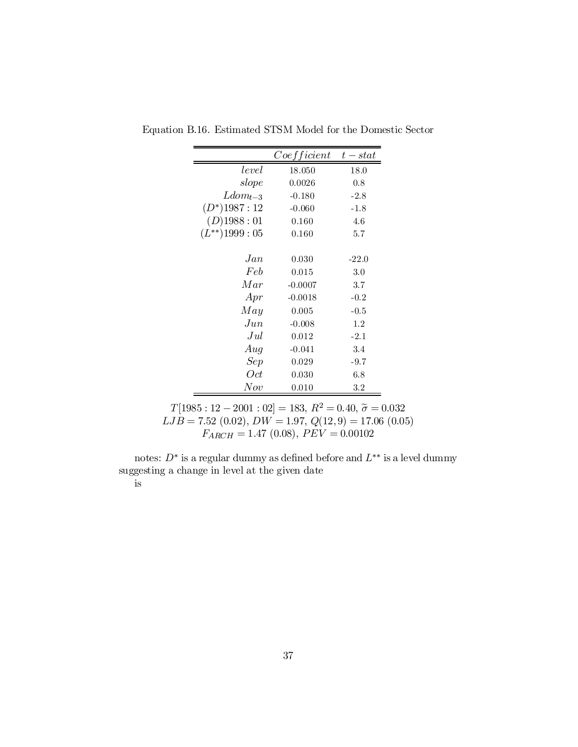|                     | Coefficient | $t - stat$ |
|---------------------|-------------|------------|
| level               | 18.050      | 18.0       |
| slope               | 0.0026      | 0.8        |
| $Ldom_{t-3}$        | $-0.180$    | $-2.8$     |
| $(D^*)$ 1987 : 12   | $-0.060$    | $-1.8$     |
| $(D)$ 1988:01       | 0.160       | 4.6        |
| $(L^{**})$ 1999: 05 | 0.160       | 5.7        |
|                     |             |            |
| Jan                 | 0.030       | $-22.0$    |
| Feb                 | 0.015       | 3.0        |
| Mar                 | $-0.0007$   | 3.7        |
| Apr                 | $-0.0018$   | $-0.2$     |
| May                 | 0.005       | $-0.5$     |
| $_{Jun}$            | $-0.008$    | 1.2        |
| Jul                 | 0.012       | $-2.1$     |
| Aug                 | $-0.041$    | 3.4        |
| Sep                 | 0.029       | $-9.7$     |
| Oct                 | 0.030       | 6.8        |
| Now                 | 0.010       | 3.2        |

Equation B.16. Estimated STSM Model for the Domestic Sector

 $T[1985:12-2001:02] = 183, R^2 = 0.40, \tilde{\sigma} = 0.032$  $LJB = 7.52(0.02), DW = 1.97, Q(12,9) = 17.06(0.05)$  $F_{ARCH} = 1.47 (0.08), PEV = 0.00102$ 

notes:  $D^*$  is a regular dummy as defined before and  $L^{**}$  is a level dummy suggesting a change in level at the given date

# is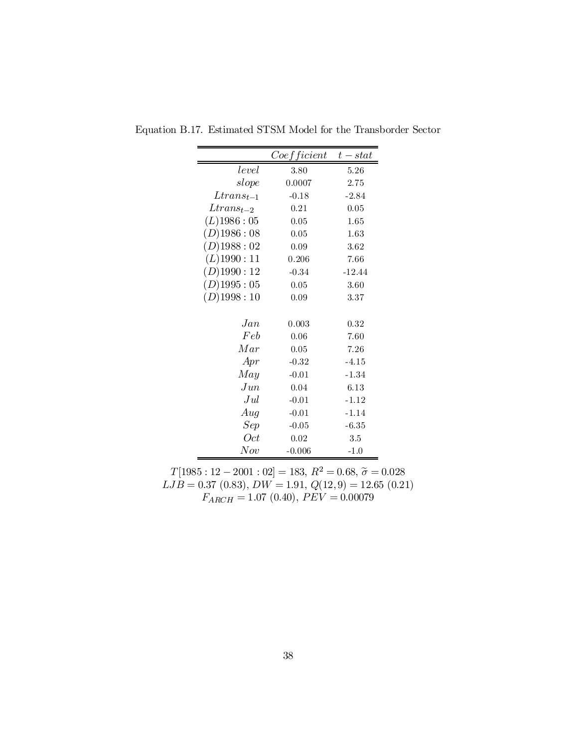|                   | Coefficient | $t - stat$ |
|-------------------|-------------|------------|
| level             | 3.80        | 5.26       |
| slope             | 0.0007      | 2.75       |
| $Ltrans_{t-1}$    | $-0.18$     | $-2.84$    |
| $Ltrans_{t-2}$    | 0.21        | 0.05       |
| $(L)$ 1986 : 05   | 0.05        | 1.65       |
| $(D)$ 1986 : 08   | 0.05        | 1.63       |
| $(D)$ 1988:02     | 0.09        | 3.62       |
| $(L)$ 1990 : 11   | 0.206       | 7.66       |
| $(D)$ 1990:12     | $-0.34$     | $-12.44$   |
| $(D)$ 1995 : $05$ | 0.05        | 3.60       |
| $(D)$ 1998:10     | 0.09        | 3.37       |
|                   |             |            |
| Jan               | 0.003       | 0.32       |
| Feb               | 0.06        | 7.60       |
| Mar               | 0.05        | 7.26       |
| Apr               | $-0.32$     | $-4.15$    |
| May               | $-0.01$     | $-1.34$    |
| $_{Jun}$          | 0.04        | 6.13       |
| Jul               | $-0.01$     | $-1.12$    |
| Aug               | $-0.01$     | $-1.14$    |
| Sep               | $-0.05$     | $-6.35$    |
| Oct               | 0.02        | 3.5        |
| Now               | $-0.006$    | $-1.0$     |

Equation B.17. Estimated STSM Model for the Transborder Sector

 $T[1985:12-2001:02] = 183, R^2 = 0.68, \tilde{\sigma} = 0.028$ <br> $LJB = 0.37 (0.83), DW = 1.91, Q(12,9) = 12.65 (0.21)$  $F_{ARCH} = 1.07 (0.40), PEV = 0.00079$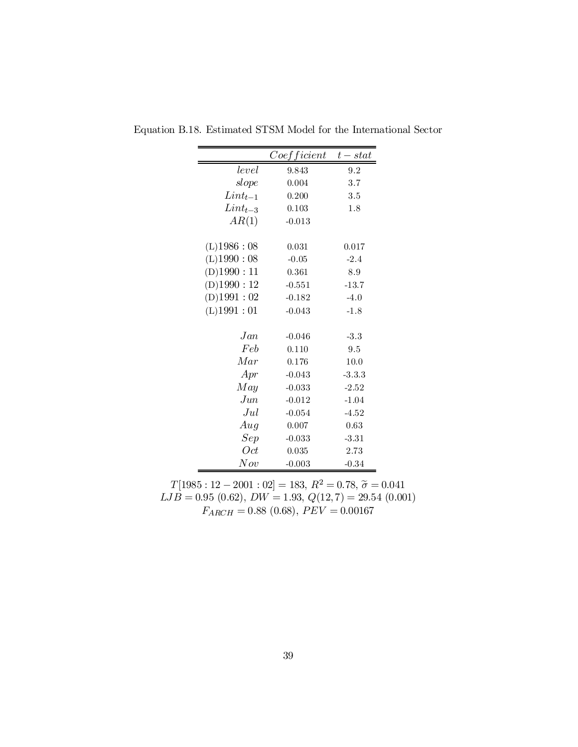|                | Coefficient | $t - stat$ |
|----------------|-------------|------------|
| level          | 9.843       | 9.2        |
| slope          | 0.004       | 3.7        |
| $Lint_{t-1}$   | 0.200       | 3.5        |
| $Lint_{t-3}$   | 0.103       | 1.8        |
| AR(1)          | $-0.013$    |            |
| $(L)$ 1986: 08 | 0.031       | 0.017      |
| (L)1990:08     | $-0.05$     | $-2.4$     |
| (D)1990:11     | 0.361       | 8.9        |
| (D)1990:12     | $-0.551$    | $-13.7$    |
| $(D)$ 1991: 02 | $-0.182$    | $-4.0$     |
| $(L)$ 1991: 01 | $-0.043$    | $-1.8$     |
| Jan            | $-0.046$    | $-3.3$     |
| Feb            | 0.110       | 9.5        |
| Mar            | 0.176       | 10.0       |
| Apr            | $-0.043$    | $-3.3.3$   |
| May            | $-0.033$    | $-2.52$    |
| $_{Jun}$       | $-0.012$    | $-1.04$    |
| $_{Jul}$       | $-0.054$    | $-4.52$    |
| Aug            | 0.007       | 0.63       |
| Sep            | $-0.033$    | $-3.31$    |
| Oct            | 0.035       | 2.73       |
| $^{Nov}$       | $-0.003$    | $-0.34$    |

Equation B.18. Estimated STSM Model for the International Sector

 $T[1985:12-2001:02]=183,\,R^2=0.78,\,\widetilde{\sigma}=0.041$  $LJB = 0.95(0.62), DW = 1.93, Q(12,7) = 29.54(0.001)$  $F_{ARCH} = 0.88 (0.68), PEV = 0.00167$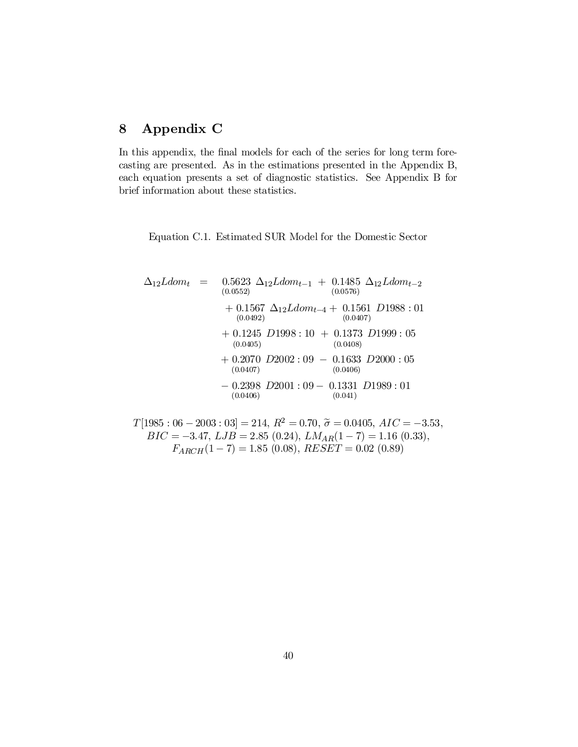# 8 Appendix C

In this appendix, the final models for each of the series for long term forecasting are presented. As in the estimations presented in the Appendix B, each equation presents a set of diagnostic statistics. See Appendix B for brief information about these statistics.

Equation C.1. Estimated SUR Model for the Domestic Sector

$$
\Delta_{12}Ldom_t = 0.5623 \Delta_{12}Ldom_{t-1} + 0.1485 \Delta_{12}Ldom_{t-2}\n(0.0552) \qquad (0.0576)\n+ 0.1567 \Delta_{12}Ldom_{t-4} + 0.1561 D1988 : 01\n(0.0492) \qquad (0.0407)\n+ 0.1245 D1998 : 10 + 0.1373 D1999 : 05\n(0.0405) \qquad (0.0408)\n+ 0.2070 D2002 : 09 - 0.1633 D2000 : 05\n(0.0407) \qquad (0.0406)\n- 0.2398 D2001 : 09 - 0.1331 D1989 : 01\n(0.0406)
$$

 $T[1985:06 - 2003:03] = 214, R^2 = 0.70, \tilde{\sigma} = 0.0405, AIC = -3.53,$  $BIC = -3.47, \, LJB = 2.85 \ (0.24), \, LM_{AR}(1-7) = 1.16 \ (0.33),$  $F_{ARCH}(1-7) = 1.85\ (0.08), \, RESET = 0.02\ (0.89)$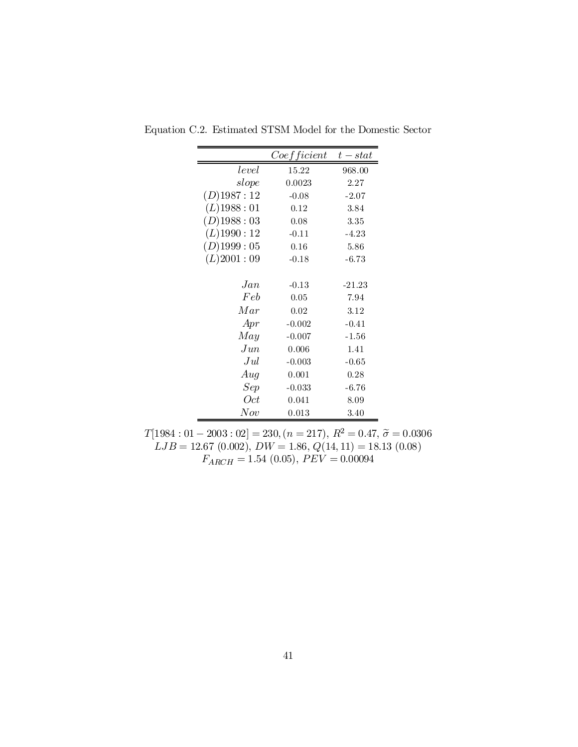|                 | Coefficient | $t - stat$ |
|-----------------|-------------|------------|
| level           | 15.22       | 968.00     |
| slope           | 0.0023      | 2.27       |
| $(D)$ 1987: 12  | $-0.08$     | $-2.07$    |
| $(L)$ 1988 : 01 | 0.12        | 3.84       |
| $(D)$ 1988:03   | 0.08        | 3.35       |
| $(L)$ 1990: 12  | $-0.11$     | $-4.23$    |
| $(D)$ 1999: 05  | 0.16        | 5.86       |
| (L)2001:09      | $-0.18$     | $-6.73$    |
|                 |             |            |
| Jan             | $-0.13$     | $-21.23$   |
| Feb             | 0.05        | 7.94       |
| Mar             | 0.02        | 3.12       |
| Apr             | $-0.002$    | $-0.41$    |
| May             | $-0.007$    | $-1.56$    |
| $_{Jun}$        | 0.006       | 1.41       |
| Jul             | $-0.003$    | $-0.65$    |
| Aug             | 0.001       | 0.28       |
| Sep             | $-0.033$    | $-6.76$    |
| Oct             | 0.041       | 8.09       |
| Now             | 0.013       | 3.40       |

Equation C.2. Estimated STSM Model for the Domestic Sector

 $T[1984:01 - 2003:02] = 230, (n = 217), R^2 = 0.47, \tilde{\sigma} = 0.0306$  $LJB = 12.67(0.002), DW = 1.86, Q(14, 11) = 18.13(0.08)$  $F_{ARCH} = 1.54\ (0.05), \, PEV = 0.00094$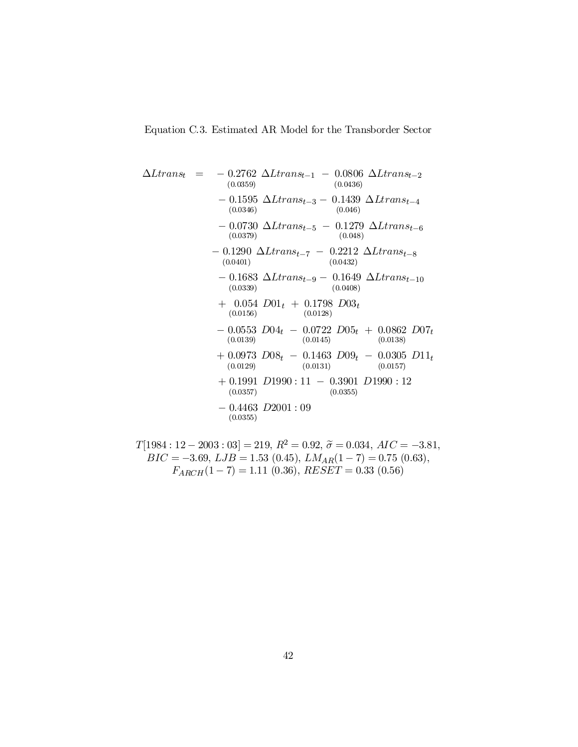Equation C.3. Estimated AR Model for the Transborder Sector

$$
\Delta Ltrans_{t} = -0.2762 \Delta Ltrans_{t-1} - 0.0806 \Delta Ltrans_{t-2} \n(0.0359) \t(0.0436) \n- 0.1595 \Delta Ltrans_{t-3} - 0.1439 \Delta Ltrans_{t-4} \n(0.0346) \t(0.046) \n- 0.0730 \Delta Ltrans_{t-5} - 0.1279 \Delta Ltrans_{t-6} \n(0.0379) \t(0.048) \n- 0.1290 \Delta Ltrans_{t-7} - 0.2212 \Delta Ltrans_{t-8} \n(0.0401) \t(0.0432) \n- 0.1683 \Delta Ltrans_{t-9} - 0.1649 \Delta Ltrans_{t-10} \n(0.0339) \t(0.0408) \n+ 0.054 D01_{t} + 0.1798 D03_{t} \n(0.0156) \t(0.0128) \n- 0.0553 D04_{t} - 0.0722 D05_{t} + 0.0862 D07_{t} \n(0.0139) \t(0.0145) \t(0.0138) \n+ 0.0973 D08_{t} - 0.1463 D09_{t} - 0.0305 D11_{t} \n(0.0129) \t(0.0131) \t(0.0157) \n+ 0.1991 D1990 : 11 - 0.3901 D1990 : 12 \n(0.0357) \t(0.0355)
$$

$$
T[1984:12-2003:03] = 219, R^2 = 0.92, \tilde{\sigma} = 0.034, AIC = -3.81, BIC = -3.69, LJB = 1.53 (0.45), LMAR(1-7) = 0.75 (0.63), F_{ARCH}(1-7) = 1.11 (0.36), RESET = 0.33 (0.56)
$$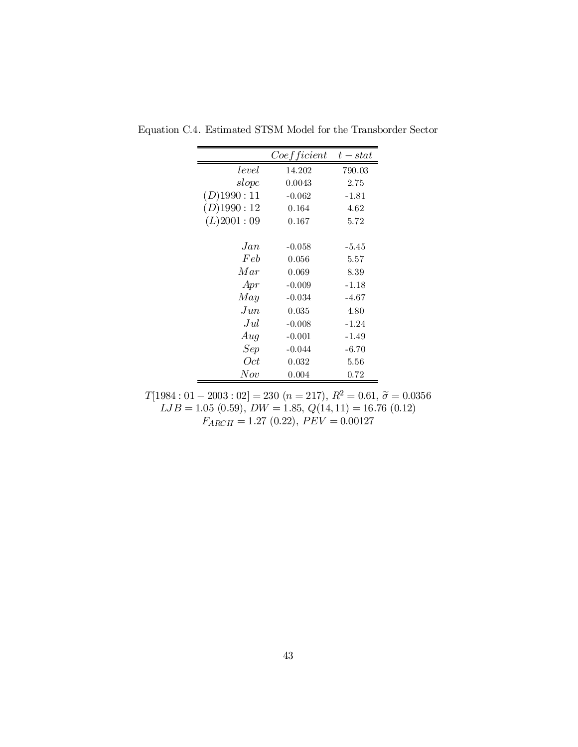|                | Coefficient | $t - stat$ |
|----------------|-------------|------------|
| level          | 14.202      | 790.03     |
| slope          | 0.0043      | 2.75       |
| $(D)$ 1990: 11 | $-0.062$    | -1.81      |
| $(D)$ 1990: 12 | 0.164       | 4.62       |
| (L)2001:09     | 0.167       | 5.72       |
|                |             |            |
| Jan            | $-0.058$    | $-5.45$    |
| Feb            | 0.056       | 5.57       |
| Mar            | 0.069       | 8.39       |
| Apr            | $-0.009$    | $-1.18$    |
| May            | $-0.034$    | -4.67      |
| $_{Jun}$       | 0.035       | 4.80       |
| .Jul           | $-0.008$    | $-1.24$    |
| Aug            | $-0.001$    | -1.49      |
| Sep            | $-0.044$    | $-6.70$    |
| 0ct            | 0.032       | 5.56       |
| Now            | 0.004       | 0.72       |

Equation C.4. Estimated STSM Model for the Transborder Sector

 $T[1984:01 - 2003:02] = 230 (n = 217), R^2 = 0.61, \tilde{\sigma} = 0.0356$  $LJB = 1.05(0.59), DW = 1.85, Q(14, 11) = 16.76(0.12)$  $F_{ARCH} = 1.27 (0.22), PEV = 0.00127$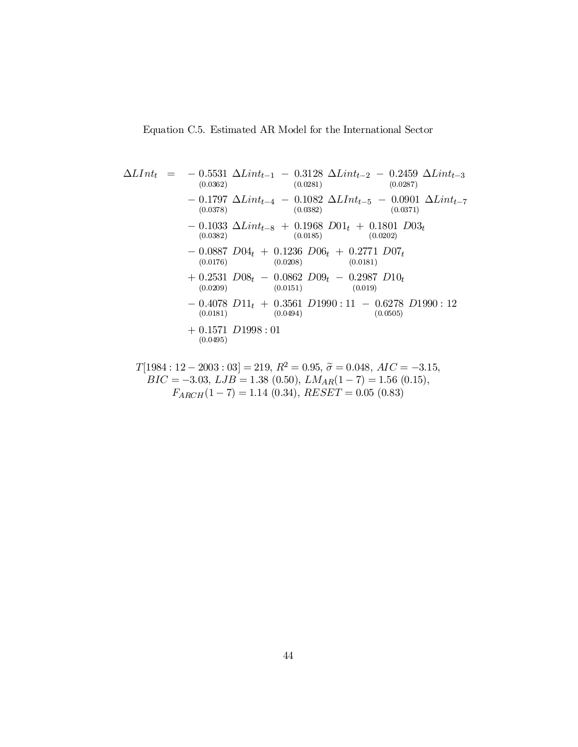$$
\Delta LInt_{t} = -0.5531 \Delta Lint_{t-1} - 0.3128 \Delta Lint_{t-2} - 0.2459 \Delta Lint_{t-3}
$$
\n(0.0362)  
\n
$$
- 0.1797 \Delta Lint_{t-4} - 0.1082 \Delta LInt_{t-5} - 0.0901 \Delta Lint_{t-7}
$$
\n(0.0378)  
\n
$$
- 0.1033 \Delta Lint_{t-8} + 0.1968 D01_{t} + 0.1801 D03_{t}
$$
\n(0.0382)  
\n
$$
- 0.0887 D04_{t} + 0.1236 D06_{t} + 0.2771 D07_{t}
$$
\n(0.0176)  
\n(0.0176)  
\n
$$
+ 0.2531 D08_{t} - 0.0862 D09_{t} - 0.2987 D10_{t}
$$
\n(0.0209)  
\n
$$
- 0.4078 D11_{t} + 0.3561 D1990 : 11 - 0.6278 D1990 : 12
$$
\n(0.0181)  
\n
$$
+ 0.1571 D1998 : 01
$$
\n(0.0494)  
\n(0.0495)

$$
T[1984:12-2003:03] = 219, R^2 = 0.95, \tilde{\sigma} = 0.048, AIC = -3.15,
$$
  
\n
$$
BIC = -3.03, LJB = 1.38 (0.50), LMA_R(1 - 7) = 1.56 (0.15),
$$
  
\n
$$
F_{ARCH}(1 - 7) = 1.14 (0.34), RESET = 0.05 (0.83)
$$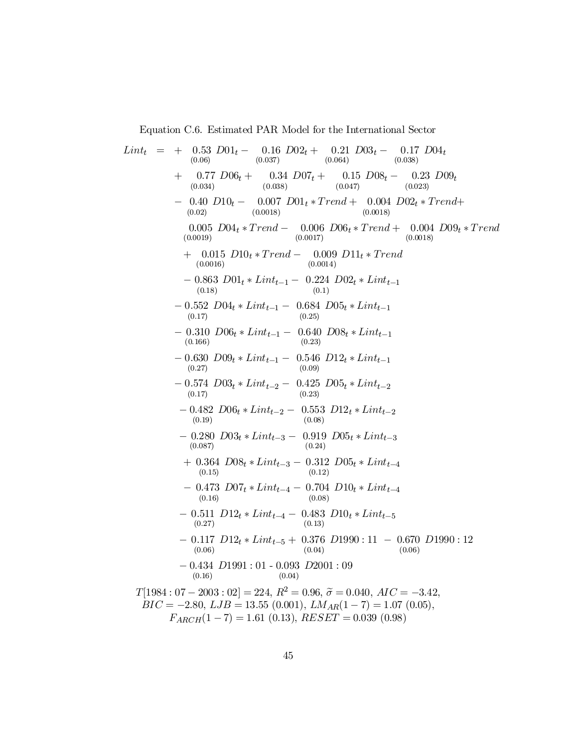Equation C.6. Estimated PAR Model for the International Sector

$$
Lint_{(0.066)} = 0.16 D02t + 0.21 D03t - 0.17 D04t
$$
  
\n
$$
+ 0.032 D01t - 0.034 D07t + 0.15 D08t - 0.23 D09t
$$
  
\n
$$
+ 0.077 D06t + 0.34 D07t + 0.15 D08t - 0.23 D09t
$$
  
\n
$$
- 0.40 D10t - 0.007 D01t * Trend + 0.004 D02t * Trend + 0.023)
$$
  
\n
$$
- 0.40 D10t - 0.007 D01t * Trend + 0.004 D02t * Trend + 0.023
$$
  
\n
$$
0.005 D04t * Trend - 0.006 D06t * Trend + 0.004 D09t * Trend + 0.0091
$$
  
\n
$$
+ 0.015 D10t * Trend - 0.009 D11t * Trend
$$
  
\n
$$
+ 0.015 D10t * Trend - 0.009 D11t * Trend
$$
  
\n
$$
- 0.563 D01t * Lint_{t-1} - 0.224 D02t * Lint_{t-1}
$$
  
\n
$$
- 0.522 D04t * Lint_{t-1} - 0.640 D08t * Lint_{t-1}
$$
  
\n
$$
- 0.310 D06t * Lint_{t-1} - 0.640 D08t * Lint_{t-1}
$$
  
\n
$$
+ 0.352 D09t * Lint_{t-2} - 0.353 D12t * Lint_{t-2}
$$
  
\n
$$
- 0.300 D09t * Lint_{t-2} - 0.353 D12t * Lint_{t-2}
$$
  
\n
$$
- 0.324 D06t * Lint_{t-2} - 0.353 D12t * Lint_{t-2}
$$
  
\n
$$
- 0.330 D09t * Lint_{t-2} - 0.353 D12t * Lint_{t-2}
$$
  
\n
$$
- 0
$$